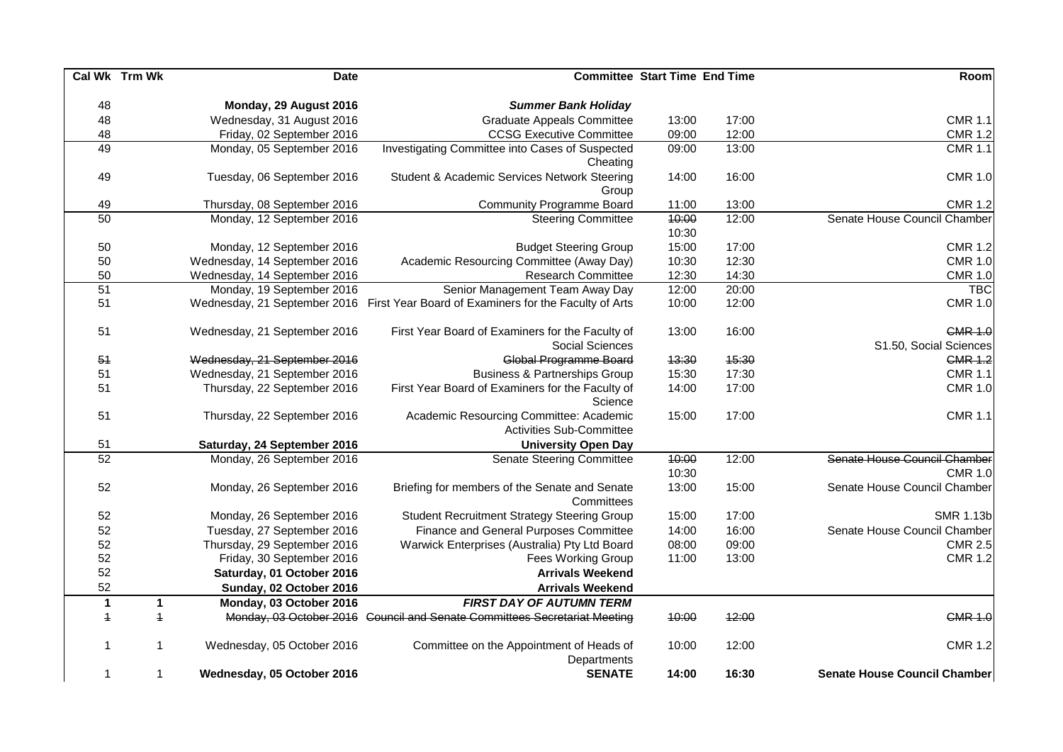|                | Cal Wk Trm Wk | <b>Date</b>                  |                                                                                    | <b>Committee Start Time End Time</b> |       | Room                                           |
|----------------|---------------|------------------------------|------------------------------------------------------------------------------------|--------------------------------------|-------|------------------------------------------------|
| 48             |               | Monday, 29 August 2016       | <b>Summer Bank Holiday</b>                                                         |                                      |       |                                                |
| 48             |               | Wednesday, 31 August 2016    | <b>Graduate Appeals Committee</b>                                                  | 13:00                                | 17:00 | <b>CMR 1.1</b>                                 |
| 48             |               | Friday, 02 September 2016    | <b>CCSG Executive Committee</b>                                                    | 09:00                                | 12:00 | <b>CMR 1.2</b>                                 |
| 49             |               | Monday, 05 September 2016    | Investigating Committee into Cases of Suspected<br>Cheating                        | 09:00                                | 13:00 | <b>CMR 1.1</b>                                 |
| 49             |               | Tuesday, 06 September 2016   | Student & Academic Services Network Steering<br>Group                              | 14:00                                | 16:00 | <b>CMR 1.0</b>                                 |
| 49             |               | Thursday, 08 September 2016  | <b>Community Programme Board</b>                                                   | 11:00                                | 13:00 | <b>CMR 1.2</b>                                 |
| 50             |               | Monday, 12 September 2016    | <b>Steering Committee</b>                                                          | 40:00<br>10:30                       | 12:00 | Senate House Council Chamber                   |
| 50             |               | Monday, 12 September 2016    | <b>Budget Steering Group</b>                                                       | 15:00                                | 17:00 | <b>CMR 1.2</b>                                 |
| 50             |               | Wednesday, 14 September 2016 | Academic Resourcing Committee (Away Day)                                           | 10:30                                | 12:30 | <b>CMR 1.0</b>                                 |
| 50             |               | Wednesday, 14 September 2016 | <b>Research Committee</b>                                                          | 12:30                                | 14:30 | <b>CMR 1.0</b>                                 |
| 51             |               | Monday, 19 September 2016    | Senior Management Team Away Day                                                    | 12:00                                | 20:00 | <b>TBC</b>                                     |
| 51             |               |                              | Wednesday, 21 September 2016 First Year Board of Examiners for the Faculty of Arts | 10:00                                | 12:00 | <b>CMR 1.0</b>                                 |
| 51             |               | Wednesday, 21 September 2016 | First Year Board of Examiners for the Faculty of<br>Social Sciences                | 13:00                                | 16:00 | <b>CMR 1.0</b><br>S1.50, Social Sciences       |
| 54             |               | Wednesday, 21 September 2016 | Global Programme Board                                                             | 43:30                                | 45:30 | <b>CMR 1.2</b>                                 |
| 51             |               | Wednesday, 21 September 2016 | <b>Business &amp; Partnerships Group</b>                                           | 15:30                                | 17:30 | <b>CMR 1.1</b>                                 |
| 51             |               | Thursday, 22 September 2016  | First Year Board of Examiners for the Faculty of<br>Science                        | 14:00                                | 17:00 | <b>CMR 1.0</b>                                 |
| 51             |               | Thursday, 22 September 2016  | Academic Resourcing Committee: Academic<br><b>Activities Sub-Committee</b>         | 15:00                                | 17:00 | <b>CMR 1.1</b>                                 |
| 51             |               | Saturday, 24 September 2016  | <b>University Open Day</b>                                                         |                                      |       |                                                |
| 52             |               | Monday, 26 September 2016    | Senate Steering Committee                                                          | 40:00<br>10:30                       | 12:00 | Senate House Council Chamber<br><b>CMR 1.0</b> |
| 52             |               | Monday, 26 September 2016    | Briefing for members of the Senate and Senate<br>Committees                        | 13:00                                | 15:00 | Senate House Council Chamber                   |
| 52             |               | Monday, 26 September 2016    | <b>Student Recruitment Strategy Steering Group</b>                                 | 15:00                                | 17:00 | <b>SMR 1.13b</b>                               |
| 52             |               | Tuesday, 27 September 2016   | Finance and General Purposes Committee                                             | 14:00                                | 16:00 | Senate House Council Chamber                   |
| 52             |               | Thursday, 29 September 2016  | Warwick Enterprises (Australia) Pty Ltd Board                                      | 08:00                                | 09:00 | <b>CMR 2.5</b>                                 |
| 52             |               | Friday, 30 September 2016    | <b>Fees Working Group</b>                                                          | 11:00                                | 13:00 | <b>CMR 1.2</b>                                 |
| 52             |               | Saturday, 01 October 2016    | <b>Arrivals Weekend</b>                                                            |                                      |       |                                                |
| 52             |               | Sunday, 02 October 2016      | <b>Arrivals Weekend</b>                                                            |                                      |       |                                                |
| $\mathbf{1}$   | $\mathbf 1$   | Monday, 03 October 2016      | <b>FIRST DAY OF AUTUMN TERM</b>                                                    |                                      |       |                                                |
| $\ddagger$     | $\ddagger$    |                              | Monday, 03 October 2016 Council and Senate Committees Secretariat Meeting          | 10:00                                | 12:00 | <b>CMR 1.0</b>                                 |
| $\mathbf{1}$   |               | Wednesday, 05 October 2016   | Committee on the Appointment of Heads of<br>Departments                            | 10:00                                | 12:00 | <b>CMR 1.2</b>                                 |
| $\overline{1}$ | 1             | Wednesday, 05 October 2016   | <b>SENATE</b>                                                                      | 14:00                                | 16:30 | <b>Senate House Council Chamber</b>            |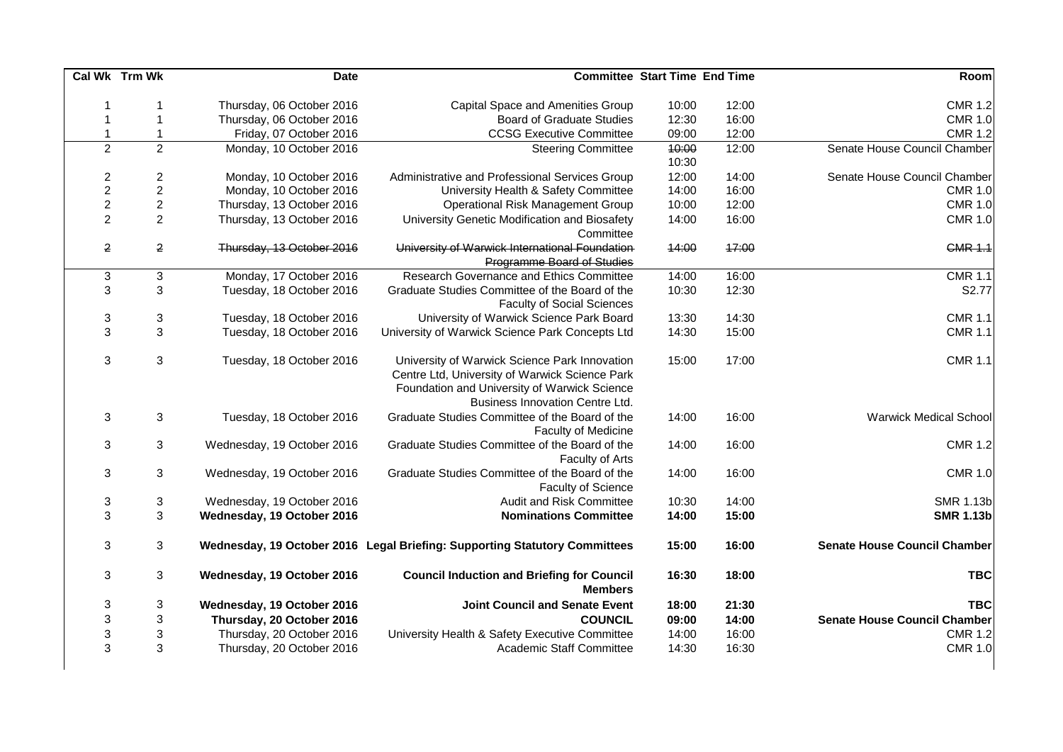|                           | Cal Wk Trm Wk             | <b>Date</b>                | <b>Committee Start Time End Time</b>                                                                                                                                               |                |       | Room                                |
|---------------------------|---------------------------|----------------------------|------------------------------------------------------------------------------------------------------------------------------------------------------------------------------------|----------------|-------|-------------------------------------|
| -1                        |                           | Thursday, 06 October 2016  | <b>Capital Space and Amenities Group</b>                                                                                                                                           | 10:00          | 12:00 | <b>CMR 1.2</b>                      |
| $\overline{1}$            |                           | Thursday, 06 October 2016  | <b>Board of Graduate Studies</b>                                                                                                                                                   | 12:30          | 16:00 | <b>CMR 1.0</b>                      |
| $\overline{1}$            |                           | Friday, 07 October 2016    | <b>CCSG Executive Committee</b>                                                                                                                                                    | 09:00          | 12:00 | <b>CMR 1.2</b>                      |
| $\overline{2}$            | $\overline{2}$            | Monday, 10 October 2016    | <b>Steering Committee</b>                                                                                                                                                          | 40:00<br>10:30 | 12:00 | Senate House Council Chamber        |
| $\overline{c}$            | $\overline{c}$            | Monday, 10 October 2016    | Administrative and Professional Services Group                                                                                                                                     | 12:00          | 14:00 | Senate House Council Chamber        |
| $\overline{\mathbf{c}}$   | $\overline{2}$            | Monday, 10 October 2016    | University Health & Safety Committee                                                                                                                                               | 14:00          | 16:00 | <b>CMR 1.0</b>                      |
| $\boldsymbol{2}$          | $\overline{c}$            | Thursday, 13 October 2016  | <b>Operational Risk Management Group</b>                                                                                                                                           | 10:00          | 12:00 | <b>CMR 1.0</b>                      |
| $\overline{c}$            | $\overline{2}$            | Thursday, 13 October 2016  | University Genetic Modification and Biosafety<br>Committee                                                                                                                         | 14:00          | 16:00 | <b>CMR 1.0</b>                      |
| $\overline{2}$            | $\overline{a}$            | Thursday, 13 October 2016  | University of Warwick International Foundation                                                                                                                                     | 14:00          | 17:00 | <b>CMR 1.1</b>                      |
|                           |                           |                            | Programme Board of Studies                                                                                                                                                         |                |       |                                     |
| $\sqrt{3}$                | $\mathbf{3}$              | Monday, 17 October 2016    | Research Governance and Ethics Committee                                                                                                                                           | 14:00          | 16:00 | <b>CMR 1.1</b>                      |
| $\mathbf{3}$              | $\mathbf{3}$              | Tuesday, 18 October 2016   | Graduate Studies Committee of the Board of the<br><b>Faculty of Social Sciences</b>                                                                                                | 10:30          | 12:30 | S2.77                               |
| $\mathbf{3}$              | $\ensuremath{\mathsf{3}}$ | Tuesday, 18 October 2016   | University of Warwick Science Park Board                                                                                                                                           | 13:30          | 14:30 | <b>CMR 1.1</b>                      |
| 3                         | $\mathbf{3}$              | Tuesday, 18 October 2016   | University of Warwick Science Park Concepts Ltd                                                                                                                                    | 14:30          | 15:00 | <b>CMR 1.1</b>                      |
| 3                         | 3                         | Tuesday, 18 October 2016   | University of Warwick Science Park Innovation<br>Centre Ltd, University of Warwick Science Park<br>Foundation and University of Warwick Science<br>Business Innovation Centre Ltd. | 15:00          | 17:00 | <b>CMR 1.1</b>                      |
| $\mathbf{3}$              | 3                         | Tuesday, 18 October 2016   | Graduate Studies Committee of the Board of the<br><b>Faculty of Medicine</b>                                                                                                       | 14:00          | 16:00 | <b>Warwick Medical School</b>       |
| 3                         | 3                         | Wednesday, 19 October 2016 | Graduate Studies Committee of the Board of the<br><b>Faculty of Arts</b>                                                                                                           | 14:00          | 16:00 | <b>CMR 1.2</b>                      |
| $\mathbf{3}$              | 3                         | Wednesday, 19 October 2016 | Graduate Studies Committee of the Board of the<br><b>Faculty of Science</b>                                                                                                        | 14:00          | 16:00 | <b>CMR 1.0</b>                      |
| $\mathbf{3}$              | 3                         | Wednesday, 19 October 2016 | Audit and Risk Committee                                                                                                                                                           | 10:30          | 14:00 | <b>SMR 1.13b</b>                    |
| $\mathbf{3}$              | 3                         | Wednesday, 19 October 2016 | <b>Nominations Committee</b>                                                                                                                                                       | 14:00          | 15:00 | <b>SMR 1.13b</b>                    |
| $\ensuremath{\mathsf{3}}$ | 3                         |                            | Wednesday, 19 October 2016 Legal Briefing: Supporting Statutory Committees                                                                                                         | 15:00          | 16:00 | <b>Senate House Council Chamber</b> |
| 3                         | 3                         | Wednesday, 19 October 2016 | <b>Council Induction and Briefing for Council</b><br><b>Members</b>                                                                                                                | 16:30          | 18:00 | <b>TBC</b>                          |
| $\ensuremath{\mathsf{3}}$ | 3                         | Wednesday, 19 October 2016 | <b>Joint Council and Senate Event</b>                                                                                                                                              | 18:00          | 21:30 | <b>TBC</b>                          |
| $\ensuremath{\mathsf{3}}$ | $\ensuremath{\mathsf{3}}$ | Thursday, 20 October 2016  | <b>COUNCIL</b>                                                                                                                                                                     | 09:00          | 14:00 | <b>Senate House Council Chamber</b> |
| $\ensuremath{\mathsf{3}}$ | 3                         | Thursday, 20 October 2016  | University Health & Safety Executive Committee                                                                                                                                     | 14:00          | 16:00 | <b>CMR 1.2</b>                      |
| 3                         | 3                         | Thursday, 20 October 2016  | <b>Academic Staff Committee</b>                                                                                                                                                    | 14:30          | 16:30 | <b>CMR 1.0</b>                      |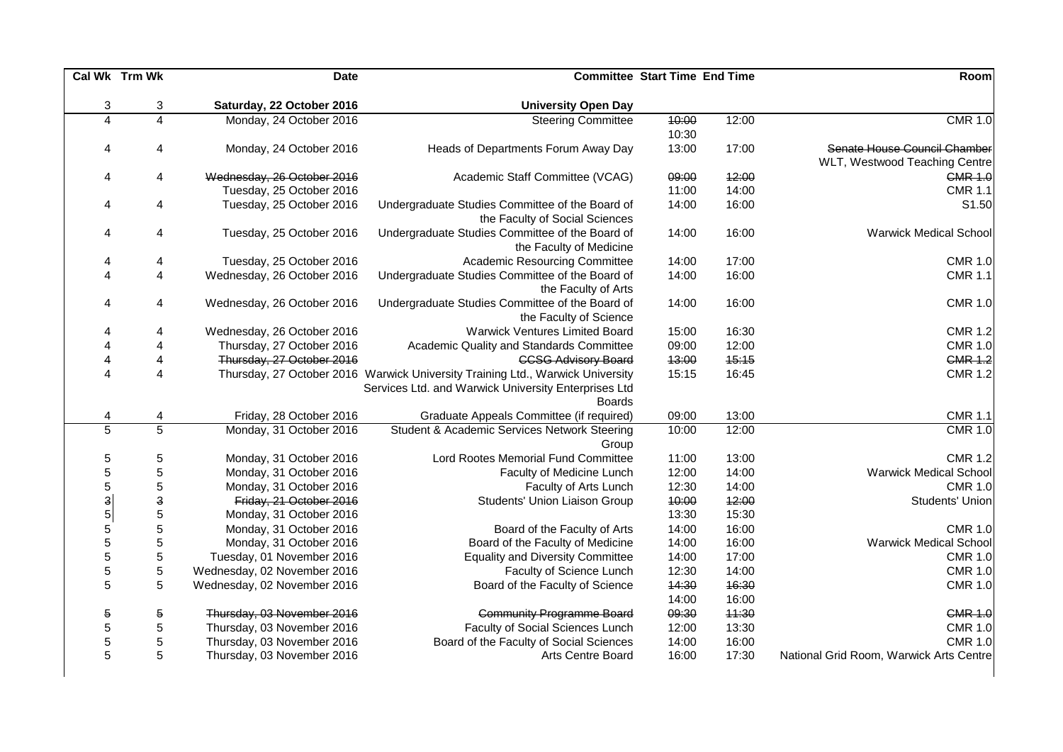|                                  | Cal Wk Trm Wk             | <b>Date</b>                                            |                                                                                                                                        | <b>Committee Start Time End Time</b> |                | Room                                                          |
|----------------------------------|---------------------------|--------------------------------------------------------|----------------------------------------------------------------------------------------------------------------------------------------|--------------------------------------|----------------|---------------------------------------------------------------|
| $\sqrt{3}$                       | $\ensuremath{\mathsf{3}}$ | Saturday, 22 October 2016                              | <b>University Open Day</b>                                                                                                             |                                      |                |                                                               |
| $\overline{4}$                   | $\overline{4}$            | Monday, 24 October 2016                                | <b>Steering Committee</b>                                                                                                              | 40:00<br>10:30                       | 12:00          | <b>CMR 1.0</b>                                                |
| 4                                | 4                         | Monday, 24 October 2016                                | Heads of Departments Forum Away Day                                                                                                    | 13:00                                | 17:00          | Senate House Council Chamber<br>WLT, Westwood Teaching Centre |
| 4                                | 4                         | Wednesday, 26 October 2016<br>Tuesday, 25 October 2016 | Academic Staff Committee (VCAG)                                                                                                        | 09:00<br>11:00                       | 42:00<br>14:00 | <b>CMR 1.0</b><br><b>CMR 1.1</b>                              |
| 4                                | 4                         | Tuesday, 25 October 2016                               | Undergraduate Studies Committee of the Board of<br>the Faculty of Social Sciences                                                      | 14:00                                | 16:00          | S1.50                                                         |
| $\overline{4}$                   | 4                         | Tuesday, 25 October 2016                               | Undergraduate Studies Committee of the Board of<br>the Faculty of Medicine                                                             | 14:00                                | 16:00          | <b>Warwick Medical School</b>                                 |
| 4                                | 4                         | Tuesday, 25 October 2016                               | <b>Academic Resourcing Committee</b>                                                                                                   | 14:00                                | 17:00          | <b>CMR 1.0</b>                                                |
| $\overline{4}$                   | $\overline{4}$            | Wednesday, 26 October 2016                             | Undergraduate Studies Committee of the Board of<br>the Faculty of Arts                                                                 | 14:00                                | 16:00          | <b>CMR 1.1</b>                                                |
| 4                                | 4                         | Wednesday, 26 October 2016                             | Undergraduate Studies Committee of the Board of<br>the Faculty of Science                                                              | 14:00                                | 16:00          | <b>CMR 1.0</b>                                                |
| 4                                | 4                         | Wednesday, 26 October 2016                             | Warwick Ventures Limited Board                                                                                                         | 15:00                                | 16:30          | <b>CMR 1.2</b>                                                |
| $\overline{\mathbf{4}}$          | $\overline{4}$            | Thursday, 27 October 2016                              | Academic Quality and Standards Committee                                                                                               | 09:00                                | 12:00          | <b>CMR 1.0</b>                                                |
| $\overline{4}$                   | $\overline{\mathbf{4}}$   | Thursday, 27 October 2016                              | <b>CCSG Advisory Board</b>                                                                                                             | 13:00                                | 45:15          | <b>CMR 1.2</b>                                                |
| $\overline{4}$                   | $\overline{4}$            |                                                        | Thursday, 27 October 2016 Warwick University Training Ltd., Warwick University<br>Services Ltd. and Warwick University Enterprises Ltd | 15:15                                | 16:45          | <b>CMR 1.2</b>                                                |
|                                  |                           |                                                        | <b>Boards</b>                                                                                                                          |                                      |                |                                                               |
| $\overline{4}$<br>$\overline{5}$ | $\overline{5}$            | Friday, 28 October 2016<br>Monday, 31 October 2016     | Graduate Appeals Committee (if required)<br>Student & Academic Services Network Steering                                               | 09:00<br>10:00                       | 13:00<br>12:00 | <b>CMR 1.1</b><br><b>CMR 1.0</b>                              |
|                                  |                           | Monday, 31 October 2016                                | Group<br>Lord Rootes Memorial Fund Committee                                                                                           | 11:00                                | 13:00          | <b>CMR 1.2</b>                                                |
| $\sqrt{5}$<br>5                  | 5<br>$\sqrt{5}$           | Monday, 31 October 2016                                | Faculty of Medicine Lunch                                                                                                              | 12:00                                | 14:00          | <b>Warwick Medical School</b>                                 |
|                                  | 5                         | Monday, 31 October 2016                                | Faculty of Arts Lunch                                                                                                                  | 12:30                                | 14:00          | <b>CMR 1.0</b>                                                |
|                                  | $\mathsf{a}$              | Friday, 21 October 2016                                | Students' Union Liaison Group                                                                                                          | 10:00                                | 42:00          | Students' Union                                               |
|                                  | 5                         | Monday, 31 October 2016                                |                                                                                                                                        | 13:30                                | 15:30          |                                                               |
|                                  | 5                         | Monday, 31 October 2016                                | Board of the Faculty of Arts                                                                                                           | 14:00                                | 16:00          | <b>CMR 1.0</b>                                                |
|                                  | 5                         | Monday, 31 October 2016                                | Board of the Faculty of Medicine                                                                                                       | 14:00                                | 16:00          | <b>Warwick Medical School</b>                                 |
|                                  | 5                         | Tuesday, 01 November 2016                              | <b>Equality and Diversity Committee</b>                                                                                                | 14:00                                | 17:00          | <b>CMR 1.0</b>                                                |
|                                  | $\mathbf 5$               | Wednesday, 02 November 2016                            | Faculty of Science Lunch                                                                                                               | 12:30                                | 14:00          | <b>CMR 1.0</b>                                                |
| 5                                | 5                         | Wednesday, 02 November 2016                            | Board of the Faculty of Science                                                                                                        | 44:30<br>14:00                       | 16:30<br>16:00 | <b>CMR 1.0</b>                                                |
| $\overline{5}$                   | 5                         | Thursday, 03 November 2016                             | <b>Community Programme Board</b>                                                                                                       | 09:30                                | 44:30          | <b>CMR 1.0</b>                                                |
| $\overline{5}$                   | 5                         | Thursday, 03 November 2016                             | Faculty of Social Sciences Lunch                                                                                                       | 12:00                                | 13:30          | <b>CMR 1.0</b>                                                |
| 5                                | 5                         | Thursday, 03 November 2016                             | Board of the Faculty of Social Sciences                                                                                                | 14:00                                | 16:00          | <b>CMR 1.0</b>                                                |
| 5                                | 5                         | Thursday, 03 November 2016                             | <b>Arts Centre Board</b>                                                                                                               | 16:00                                | 17:30          | National Grid Room, Warwick Arts Centre                       |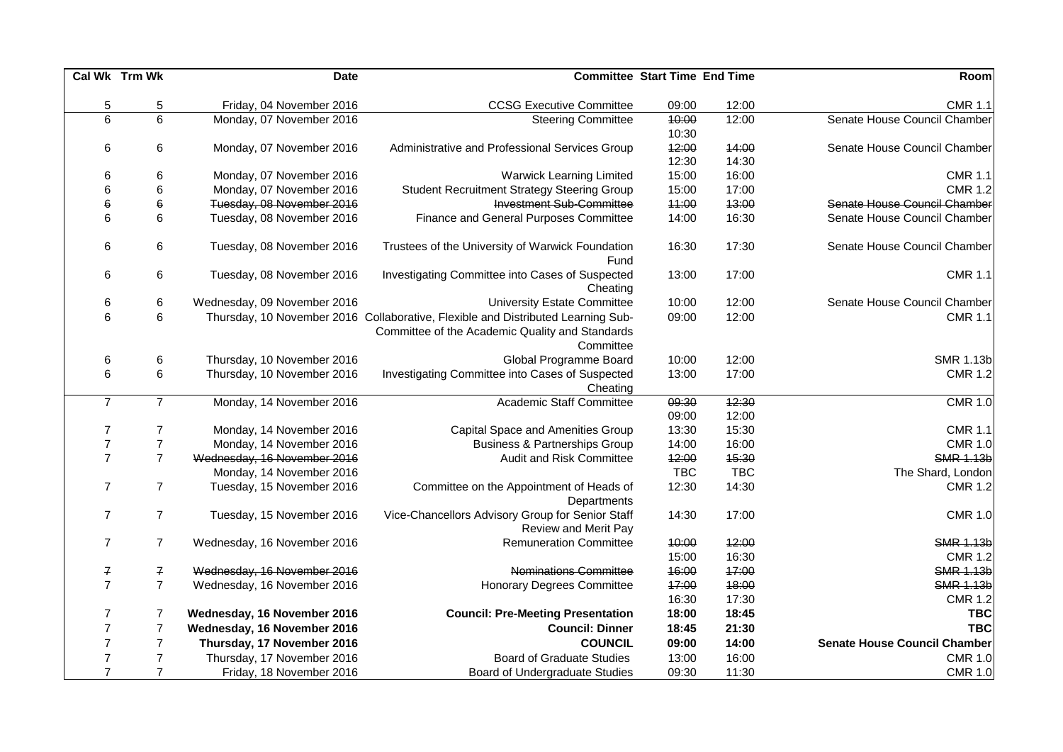|                  | Cal Wk Trm Wk    | <b>Date</b>                                              |                                                                                                                                     | <b>Committee Start Time End Time</b> |                | Room                                |
|------------------|------------------|----------------------------------------------------------|-------------------------------------------------------------------------------------------------------------------------------------|--------------------------------------|----------------|-------------------------------------|
| 5                | $\mathbf 5$      | Friday, 04 November 2016                                 | <b>CCSG Executive Committee</b>                                                                                                     | 09:00                                | 12:00          | <b>CMR 1.1</b>                      |
| $\overline{6}$   | $\overline{6}$   | Monday, 07 November 2016                                 | <b>Steering Committee</b>                                                                                                           | 40:00<br>10:30                       | 12:00          | Senate House Council Chamber        |
| 6                | 6                | Monday, 07 November 2016                                 | Administrative and Professional Services Group                                                                                      | 42:00<br>12:30                       | 14:00<br>14:30 | Senate House Council Chamber        |
| 6                | 6                | Monday, 07 November 2016                                 | <b>Warwick Learning Limited</b>                                                                                                     | 15:00                                | 16:00          | <b>CMR 1.1</b>                      |
| $\,6$            | $\,6$            | Monday, 07 November 2016                                 | <b>Student Recruitment Strategy Steering Group</b>                                                                                  | 15:00                                | 17:00          | <b>CMR 1.2</b>                      |
| $\mathbf 6$      | $\mathbf 6$      | Tuesday, 08 November 2016                                | <b>Investment Sub-Committee</b>                                                                                                     | 44:00                                | 43:00          | Senate House Council Chamber        |
| 6                | 6                | Tuesday, 08 November 2016                                | Finance and General Purposes Committee                                                                                              | 14:00                                | 16:30          | Senate House Council Chamber        |
| $\,6$            | 6                | Tuesday, 08 November 2016                                | Trustees of the University of Warwick Foundation<br>Fund                                                                            | 16:30                                | 17:30          | Senate House Council Chamber        |
| $\,6$            | 6                | Tuesday, 08 November 2016                                | Investigating Committee into Cases of Suspected<br>Cheating                                                                         | 13:00                                | 17:00          | <b>CMR 1.1</b>                      |
| $\,6\,$          | 6                | Wednesday, 09 November 2016                              | <b>University Estate Committee</b>                                                                                                  | 10:00                                | 12:00          | Senate House Council Chamber        |
| $\,6$            | $6\phantom{1}$   |                                                          | Thursday, 10 November 2016 Collaborative, Flexible and Distributed Learning Sub-<br>Committee of the Academic Quality and Standards | 09:00                                | 12:00          | <b>CMR 1.1</b>                      |
|                  |                  |                                                          | Committee                                                                                                                           |                                      |                | <b>SMR 1.13b</b>                    |
| 6                | 6<br>$\,6\,$     | Thursday, 10 November 2016<br>Thursday, 10 November 2016 | Global Programme Board                                                                                                              | 10:00                                | 12:00          | <b>CMR 1.2</b>                      |
| 6                |                  |                                                          | Investigating Committee into Cases of Suspected<br>Cheating                                                                         | 13:00                                | 17:00          |                                     |
| $\overline{7}$   | $\overline{7}$   | Monday, 14 November 2016                                 | <b>Academic Staff Committee</b>                                                                                                     | 09:30                                | 12:30          | <b>CMR 1.0</b>                      |
|                  |                  |                                                          |                                                                                                                                     | 09:00                                | 12:00          |                                     |
| $\overline{7}$   | $\overline{7}$   | Monday, 14 November 2016                                 | <b>Capital Space and Amenities Group</b>                                                                                            | 13:30                                | 15:30          | <b>CMR 1.1</b>                      |
| $\overline{7}$   | $\boldsymbol{7}$ | Monday, 14 November 2016                                 | <b>Business &amp; Partnerships Group</b>                                                                                            | 14:00                                | 16:00          | <b>CMR 1.0</b>                      |
| $\overline{7}$   | $\overline{7}$   | Wednesday, 16 November 2016                              | Audit and Risk Committee                                                                                                            | 42:00                                | 45:30          | <b>SMR 1.13b</b>                    |
|                  |                  | Monday, 14 November 2016                                 |                                                                                                                                     | <b>TBC</b>                           | <b>TBC</b>     | The Shard, London                   |
| $\overline{7}$   | $\overline{7}$   | Tuesday, 15 November 2016                                | Committee on the Appointment of Heads of<br>Departments                                                                             | 12:30                                | 14:30          | <b>CMR 1.2</b>                      |
| $\overline{7}$   | $\overline{7}$   | Tuesday, 15 November 2016                                | Vice-Chancellors Advisory Group for Senior Staff<br>Review and Merit Pay                                                            | 14:30                                | 17:00          | <b>CMR 1.0</b>                      |
| $\overline{7}$   | $\overline{7}$   | Wednesday, 16 November 2016                              | <b>Remuneration Committee</b>                                                                                                       | 40:00                                | 42:00          | <b>SMR 1.13b</b>                    |
|                  |                  |                                                          |                                                                                                                                     | 15:00                                | 16:30          | <b>CMR 1.2</b>                      |
| $\boldsymbol{7}$ | $\boldsymbol{7}$ | Wednesday, 16 November 2016                              | Nominations Committee                                                                                                               | 46:00                                | 17:00          | <b>SMR 1.13b</b>                    |
| $\overline{7}$   | $\overline{7}$   | Wednesday, 16 November 2016                              | <b>Honorary Degrees Committee</b>                                                                                                   | 47:00                                | 18:00          | <b>SMR 1.13b</b>                    |
|                  |                  |                                                          |                                                                                                                                     | 16:30                                | 17:30          | <b>CMR 1.2</b>                      |
| $\overline{7}$   | 7                | Wednesday, 16 November 2016                              | <b>Council: Pre-Meeting Presentation</b>                                                                                            | 18:00                                | 18:45          | <b>TBC</b>                          |
| $\overline{7}$   | $\overline{7}$   | Wednesday, 16 November 2016                              | <b>Council: Dinner</b>                                                                                                              | 18:45                                | 21:30          | <b>TBC</b>                          |
| $\overline{7}$   | $\overline{7}$   | Thursday, 17 November 2016                               | <b>COUNCIL</b>                                                                                                                      | 09:00                                | 14:00          | <b>Senate House Council Chamber</b> |
| $\overline{7}$   | $\overline{7}$   | Thursday, 17 November 2016                               | <b>Board of Graduate Studies</b>                                                                                                    | 13:00                                | 16:00          | <b>CMR 1.0</b>                      |
| $\overline{7}$   | $\overline{7}$   | Friday, 18 November 2016                                 | Board of Undergraduate Studies                                                                                                      | 09:30                                | 11:30          | <b>CMR 1.0</b>                      |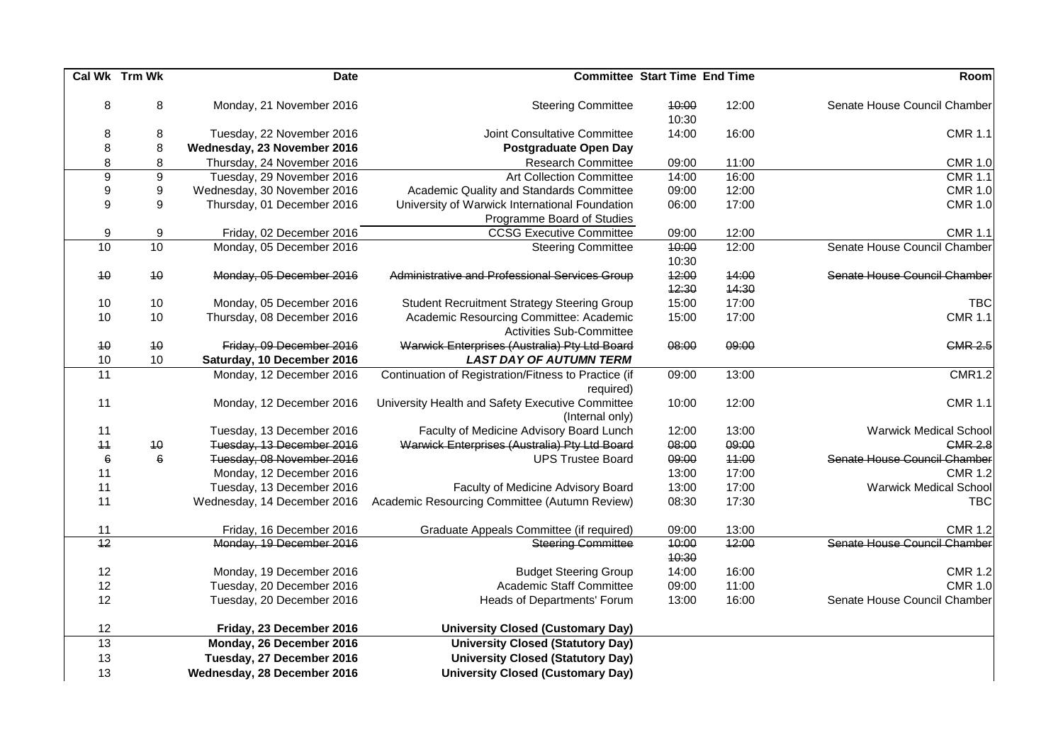|                  | Cal Wk Trm Wk    | <b>Date</b>                 | <b>Committee Start Time End Time</b>                                       |                |       | Room                          |
|------------------|------------------|-----------------------------|----------------------------------------------------------------------------|----------------|-------|-------------------------------|
| 8                | $\bf 8$          | Monday, 21 November 2016    | <b>Steering Committee</b>                                                  | 10:00<br>10:30 | 12:00 | Senate House Council Chamber  |
| 8                | 8                | Tuesday, 22 November 2016   | Joint Consultative Committee                                               | 14:00          | 16:00 | <b>CMR 1.1</b>                |
| $\bf 8$          | $\bf 8$          | Wednesday, 23 November 2016 | <b>Postgraduate Open Day</b>                                               |                |       |                               |
| 8                | 8                | Thursday, 24 November 2016  | <b>Research Committee</b>                                                  | 09:00          | 11:00 | <b>CMR 1.0</b>                |
| $\overline{9}$   | $\overline{9}$   | Tuesday, 29 November 2016   | <b>Art Collection Committee</b>                                            | 14:00          | 16:00 | <b>CMR 1.1</b>                |
| $\boldsymbol{9}$ | $\boldsymbol{9}$ | Wednesday, 30 November 2016 | Academic Quality and Standards Committee                                   | 09:00          | 12:00 | <b>CMR 1.0</b>                |
| 9                | $\boldsymbol{9}$ | Thursday, 01 December 2016  | University of Warwick International Foundation                             | 06:00          | 17:00 | <b>CMR 1.0</b>                |
|                  |                  |                             | Programme Board of Studies                                                 |                |       |                               |
| $\boldsymbol{9}$ | 9                | Friday, 02 December 2016    | <b>CCSG Executive Committee</b>                                            | 09:00          | 12:00 | <b>CMR 1.1</b>                |
| 10               | 10               | Monday, 05 December 2016    | <b>Steering Committee</b>                                                  | 40:00          | 12:00 | Senate House Council Chamber  |
|                  |                  |                             |                                                                            | 10:30          |       |                               |
| 10               | 10               | Monday, 05 December 2016    | Administrative and Professional Services Group                             | 42:00          | 14:00 | Senate House Council Chamber  |
|                  |                  |                             |                                                                            | 42:30          | 14:30 |                               |
| 10               | 10               | Monday, 05 December 2016    | <b>Student Recruitment Strategy Steering Group</b>                         | 15:00          | 17:00 | <b>TBC</b>                    |
| 10               | 10               | Thursday, 08 December 2016  | Academic Resourcing Committee: Academic<br><b>Activities Sub-Committee</b> | 15:00          | 17:00 | <b>CMR 1.1</b>                |
| 10               | 10               | Friday, 09 December 2016    | Warwick Enterprises (Australia) Pty Ltd Board                              | 08:00          | 09:00 | <b>GMR 2.5</b>                |
| 10               | 10               | Saturday, 10 December 2016  | <b>LAST DAY OF AUTUMN TERM</b>                                             |                |       |                               |
| $\overline{11}$  |                  | Monday, 12 December 2016    | Continuation of Registration/Fitness to Practice (if<br>required)          | 09:00          | 13:00 | <b>CMR1.2</b>                 |
| 11               |                  | Monday, 12 December 2016    | University Health and Safety Executive Committee<br>(Internal only)        | 10:00          | 12:00 | <b>CMR 1.1</b>                |
| 11               |                  | Tuesday, 13 December 2016   | Faculty of Medicine Advisory Board Lunch                                   | 12:00          | 13:00 | <b>Warwick Medical School</b> |
| 11               | 40               | Tuesday, 13 December 2016   | Warwick Enterprises (Australia) Pty Ltd Board                              | 08:00          | 09:00 | <b>CMR 2.8</b>                |
| $\boldsymbol{6}$ | 6                | Tuesday, 08 November 2016   | <b>UPS Trustee Board</b>                                                   | 09:00          | 44:00 | Senate House Council Chamber  |
| 11               |                  | Monday, 12 December 2016    |                                                                            | 13:00          | 17:00 | <b>CMR 1.2</b>                |
| 11               |                  | Tuesday, 13 December 2016   | Faculty of Medicine Advisory Board                                         | 13:00          | 17:00 | <b>Warwick Medical School</b> |
| 11               |                  | Wednesday, 14 December 2016 | Academic Resourcing Committee (Autumn Review)                              | 08:30          | 17:30 | <b>TBC</b>                    |
| 11               |                  | Friday, 16 December 2016    | Graduate Appeals Committee (if required)                                   | 09:00          | 13:00 | <b>CMR 1.2</b>                |
| $\overline{42}$  |                  | Monday, 19 December 2016    | <b>Steering Committee</b>                                                  | 40:00<br>40:30 | 12:00 | Senate House Council Chamber  |
| 12               |                  | Monday, 19 December 2016    | <b>Budget Steering Group</b>                                               | 14:00          | 16:00 | <b>CMR 1.2</b>                |
| 12               |                  | Tuesday, 20 December 2016   | <b>Academic Staff Committee</b>                                            | 09:00          | 11:00 | <b>CMR 1.0</b>                |
| 12               |                  | Tuesday, 20 December 2016   | Heads of Departments' Forum                                                | 13:00          | 16:00 | Senate House Council Chamber  |
| 12               |                  | Friday, 23 December 2016    | <b>University Closed (Customary Day)</b>                                   |                |       |                               |
| 13               |                  | Monday, 26 December 2016    | <b>University Closed (Statutory Day)</b>                                   |                |       |                               |
| 13               |                  | Tuesday, 27 December 2016   | <b>University Closed (Statutory Day)</b>                                   |                |       |                               |
| 13               |                  | Wednesday, 28 December 2016 | <b>University Closed (Customary Day)</b>                                   |                |       |                               |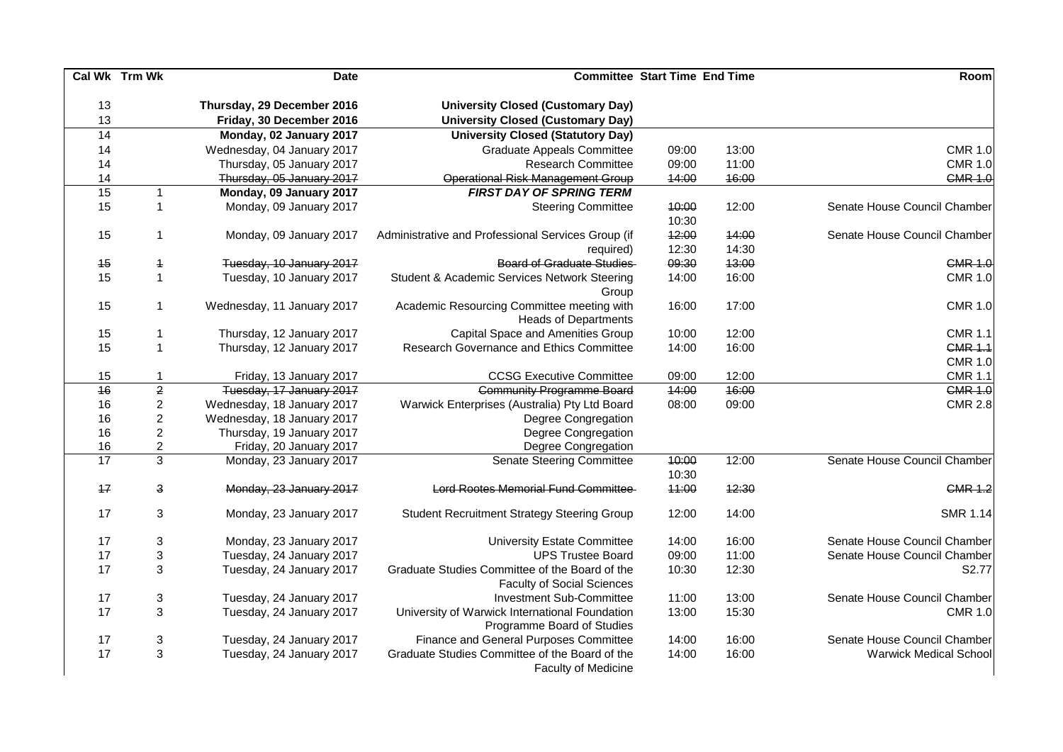| Room                             |       |                | <b>Committee Start Time End Time</b>                                                | <b>Date</b>                |                           | Cal Wk Trm Wk   |
|----------------------------------|-------|----------------|-------------------------------------------------------------------------------------|----------------------------|---------------------------|-----------------|
|                                  |       |                | <b>University Closed (Customary Day)</b>                                            | Thursday, 29 December 2016 |                           | 13              |
|                                  |       |                | <b>University Closed (Customary Day)</b>                                            | Friday, 30 December 2016   |                           | 13              |
|                                  |       |                | <b>University Closed (Statutory Day)</b>                                            | Monday, 02 January 2017    |                           | 14              |
| <b>CMR 1.0</b>                   | 13:00 | 09:00          | <b>Graduate Appeals Committee</b>                                                   | Wednesday, 04 January 2017 |                           | 14              |
| <b>CMR 1.0</b>                   | 11:00 | 09:00          | <b>Research Committee</b>                                                           | Thursday, 05 January 2017  |                           | 14              |
| <b>CMR 1.0</b>                   | 16:00 | 14:00          | <b>Operational Risk Management Group</b>                                            | Thursday, 05 January 2017  |                           | 14              |
|                                  |       |                | <b>FIRST DAY OF SPRING TERM</b>                                                     | Monday, 09 January 2017    | $\mathbf{1}$              | 15              |
| Senate House Council Chamber     | 12:00 | 40:00<br>10:30 | <b>Steering Committee</b>                                                           | Monday, 09 January 2017    | $\mathbf{1}$              | 15              |
| Senate House Council Chamber     | 14:00 | 42:00          | Administrative and Professional Services Group (if                                  | Monday, 09 January 2017    | $\mathbf{1}$              | 15              |
|                                  | 14:30 | 12:30          | required)                                                                           |                            |                           |                 |
| <b>CMR 1.0</b>                   | 13:00 | 09:30          | <b>Board of Graduate Studies</b>                                                    | Tuesday, 10 January 2017   | $\overline{1}$            | 15              |
| <b>CMR 1.0</b>                   | 16:00 | 14:00          | Student & Academic Services Network Steering<br>Group                               | Tuesday, 10 January 2017   | $\mathbf{1}$              | 15              |
| <b>CMR 1.0</b>                   | 17:00 | 16:00          | Academic Resourcing Committee meeting with<br><b>Heads of Departments</b>           | Wednesday, 11 January 2017 | $\mathbf{1}$              | 15              |
| <b>CMR 1.1</b>                   | 12:00 | 10:00          | Capital Space and Amenities Group                                                   | Thursday, 12 January 2017  | $\mathbf{1}$              | 15              |
| <b>CMR 1.1</b><br><b>CMR 1.0</b> | 16:00 | 14:00          | Research Governance and Ethics Committee                                            | Thursday, 12 January 2017  | $\mathbf{1}$              | 15              |
| <b>CMR 1.1</b>                   | 12:00 | 09:00          | <b>CCSG Executive Committee</b>                                                     | Friday, 13 January 2017    |                           | 15              |
| <b>CMR 1.0</b>                   | 46:00 | 14:00          | <b>Community Programme Board</b>                                                    | Tuesday, 17 January 2017   | $\overline{2}$            | $\overline{46}$ |
| <b>CMR 2.8</b>                   | 09:00 | 08:00          | Warwick Enterprises (Australia) Pty Ltd Board                                       | Wednesday, 18 January 2017 | $\overline{2}$            | 16              |
|                                  |       |                | Degree Congregation                                                                 | Wednesday, 18 January 2017 | $\overline{c}$            | 16              |
|                                  |       |                | Degree Congregation                                                                 | Thursday, 19 January 2017  | $\overline{2}$            | 16              |
|                                  |       |                | Degree Congregation                                                                 | Friday, 20 January 2017    | $\overline{2}$            | 16              |
| Senate House Council Chamber     | 12:00 | 40:00          | <b>Senate Steering Committee</b>                                                    | Monday, 23 January 2017    | $\overline{3}$            | $\overline{17}$ |
|                                  |       | 10:30          |                                                                                     |                            |                           |                 |
| <b>CMR 1.2</b>                   | 42:30 | 44:00          | <b>Lord Rootes Memorial Fund Committee</b>                                          | Monday, 23 January 2017    | $\mathbf{3}$              | 17              |
| <b>SMR 1.14</b>                  | 14:00 | 12:00          | <b>Student Recruitment Strategy Steering Group</b>                                  | Monday, 23 January 2017    | $\sqrt{3}$                | 17              |
| Senate House Council Chamber     | 16:00 | 14:00          | <b>University Estate Committee</b>                                                  | Monday, 23 January 2017    | $\ensuremath{\mathsf{3}}$ | 17              |
| Senate House Council Chamber     | 11:00 | 09:00          | <b>UPS Trustee Board</b>                                                            | Tuesday, 24 January 2017   | 3                         | 17              |
| S2.77                            | 12:30 | 10:30          | Graduate Studies Committee of the Board of the<br><b>Faculty of Social Sciences</b> | Tuesday, 24 January 2017   | 3                         | 17              |
| Senate House Council Chamber     | 13:00 | 11:00          | Investment Sub-Committee                                                            | Tuesday, 24 January 2017   | 3                         | 17              |
| <b>CMR 1.0</b>                   | 15:30 | 13:00          | University of Warwick International Foundation<br>Programme Board of Studies        | Tuesday, 24 January 2017   | $\mathbf{3}$              | 17              |
| Senate House Council Chamber     | 16:00 | 14:00          | Finance and General Purposes Committee                                              | Tuesday, 24 January 2017   | $\ensuremath{\mathsf{3}}$ | 17              |
| <b>Warwick Medical School</b>    | 16:00 | 14:00          | Graduate Studies Committee of the Board of the<br><b>Faculty of Medicine</b>        | Tuesday, 24 January 2017   | 3                         | 17              |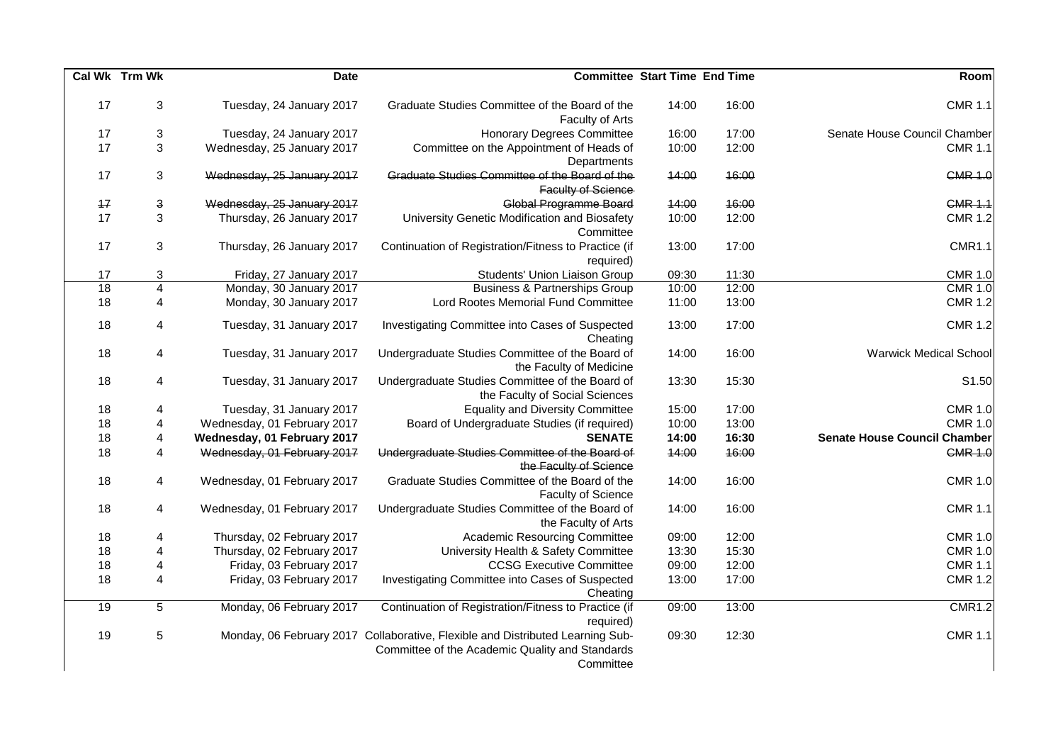|                 | Cal Wk Trm Wk           | <b>Date</b>                 | <b>Committee Start Time End Time</b>                                                                                                           |       |       | Room                                |
|-----------------|-------------------------|-----------------------------|------------------------------------------------------------------------------------------------------------------------------------------------|-------|-------|-------------------------------------|
| 17              | $\sqrt{3}$              | Tuesday, 24 January 2017    | Graduate Studies Committee of the Board of the                                                                                                 | 14:00 | 16:00 | <b>CMR 1.1</b>                      |
|                 |                         |                             | Faculty of Arts                                                                                                                                |       |       |                                     |
| 17              | 3                       | Tuesday, 24 January 2017    | <b>Honorary Degrees Committee</b>                                                                                                              | 16:00 | 17:00 | Senate House Council Chamber        |
| 17              | 3                       | Wednesday, 25 January 2017  | Committee on the Appointment of Heads of<br>Departments                                                                                        | 10:00 | 12:00 | <b>CMR 1.1</b>                      |
| 17              | 3                       | Wednesday, 25 January 2017  | Graduate Studies Committee of the Board of the<br>Faculty of Science                                                                           | 14:00 | 16:00 | <b>CMR 1.0</b>                      |
| 17              | $\mathsf 3$             | Wednesday, 25 January 2017  | Global Programme Board                                                                                                                         | 14:00 | 16:00 | <b>GMR 1.1</b>                      |
| 17              | 3                       | Thursday, 26 January 2017   | University Genetic Modification and Biosafety                                                                                                  | 10:00 | 12:00 | <b>CMR 1.2</b>                      |
|                 |                         |                             | Committee                                                                                                                                      |       |       |                                     |
| 17              | $\mathbf{3}$            | Thursday, 26 January 2017   | Continuation of Registration/Fitness to Practice (if<br>required)                                                                              | 13:00 | 17:00 | <b>CMR1.1</b>                       |
| 17              | 3                       | Friday, 27 January 2017     | Students' Union Liaison Group                                                                                                                  | 09:30 | 11:30 | <b>CMR 1.0</b>                      |
| 18              | 4                       | Monday, 30 January 2017     | <b>Business &amp; Partnerships Group</b>                                                                                                       | 10:00 | 12:00 | <b>CMR 1.0</b>                      |
| 18              | $\overline{4}$          | Monday, 30 January 2017     | Lord Rootes Memorial Fund Committee                                                                                                            | 11:00 | 13:00 | <b>CMR 1.2</b>                      |
| 18              | 4                       | Tuesday, 31 January 2017    | Investigating Committee into Cases of Suspected<br>Cheating                                                                                    | 13:00 | 17:00 | <b>CMR 1.2</b>                      |
| 18              | 4                       | Tuesday, 31 January 2017    | Undergraduate Studies Committee of the Board of<br>the Faculty of Medicine                                                                     | 14:00 | 16:00 | <b>Warwick Medical School</b>       |
| 18              | 4                       | Tuesday, 31 January 2017    | Undergraduate Studies Committee of the Board of<br>the Faculty of Social Sciences                                                              | 13:30 | 15:30 | S1.50                               |
| 18              | 4                       | Tuesday, 31 January 2017    | <b>Equality and Diversity Committee</b>                                                                                                        | 15:00 | 17:00 | <b>CMR 1.0</b>                      |
| 18              | 4                       | Wednesday, 01 February 2017 | Board of Undergraduate Studies (if required)                                                                                                   | 10:00 | 13:00 | <b>CMR 1.0</b>                      |
| 18              | $\overline{\mathbf{4}}$ | Wednesday, 01 February 2017 | <b>SENATE</b>                                                                                                                                  | 14:00 | 16:30 | <b>Senate House Council Chamber</b> |
| 18              | 4                       | Wednesday, 01 February 2017 | Undergraduate Studies Committee of the Board of<br>the Faculty of Science                                                                      | 44:00 | 46:00 | <b>CMR 1.0</b>                      |
| 18              | 4                       | Wednesday, 01 February 2017 | Graduate Studies Committee of the Board of the<br><b>Faculty of Science</b>                                                                    | 14:00 | 16:00 | <b>CMR 1.0</b>                      |
| 18              | 4                       | Wednesday, 01 February 2017 | Undergraduate Studies Committee of the Board of<br>the Faculty of Arts                                                                         | 14:00 | 16:00 | <b>CMR 1.1</b>                      |
| 18              | 4                       | Thursday, 02 February 2017  | Academic Resourcing Committee                                                                                                                  | 09:00 | 12:00 | <b>CMR 1.0</b>                      |
| 18              | $\overline{\mathbf{4}}$ | Thursday, 02 February 2017  | University Health & Safety Committee                                                                                                           | 13:30 | 15:30 | <b>CMR 1.0</b>                      |
| 18              | $\overline{4}$          | Friday, 03 February 2017    | <b>CCSG Executive Committee</b>                                                                                                                | 09:00 | 12:00 | <b>CMR 1.1</b>                      |
| 18              | 4                       | Friday, 03 February 2017    | Investigating Committee into Cases of Suspected<br>Cheating                                                                                    | 13:00 | 17:00 | <b>CMR 1.2</b>                      |
| $\overline{19}$ | 5                       | Monday, 06 February 2017    | Continuation of Registration/Fitness to Practice (if<br>required)                                                                              | 09:00 | 13:00 | <b>CMR1.2</b>                       |
| 19              | $\sqrt{5}$              |                             | Monday, 06 February 2017 Collaborative, Flexible and Distributed Learning Sub-<br>Committee of the Academic Quality and Standards<br>Committee | 09:30 | 12:30 | <b>CMR 1.1</b>                      |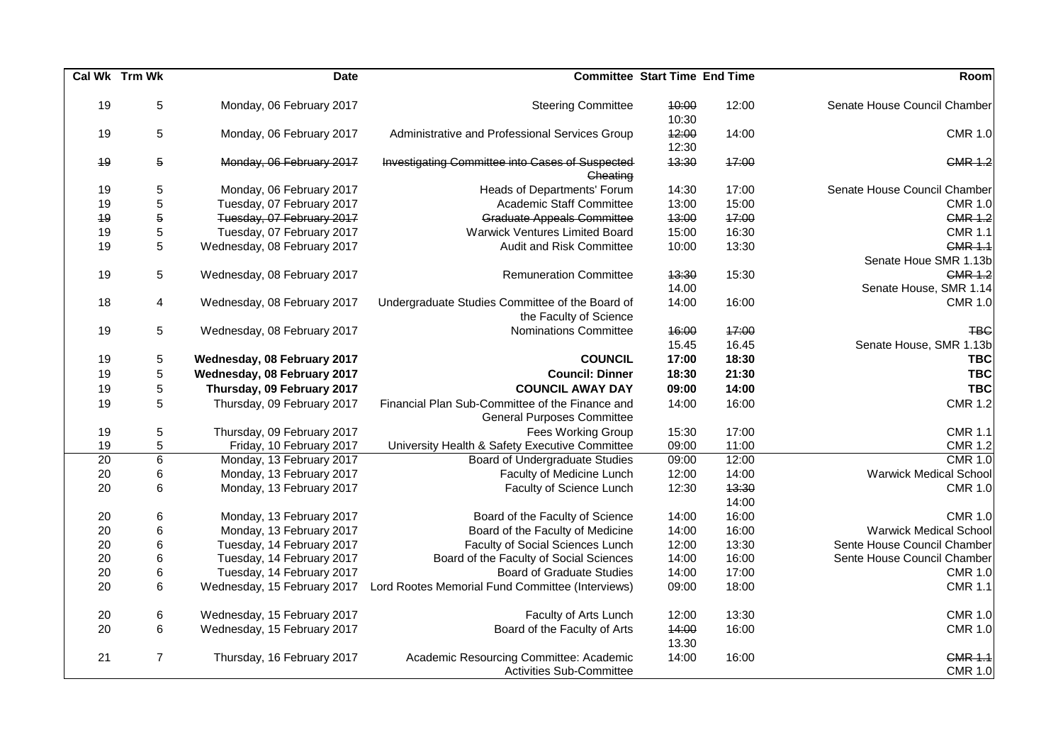|                 | Cal Wk Trm Wk   | <b>Date</b>                 | <b>Committee Start Time End Time</b>                                      |       |       | Room                          |
|-----------------|-----------------|-----------------------------|---------------------------------------------------------------------------|-------|-------|-------------------------------|
| 19              | 5               |                             |                                                                           | 10:00 | 12:00 | Senate House Council Chamber  |
|                 |                 | Monday, 06 February 2017    | <b>Steering Committee</b>                                                 | 10:30 |       |                               |
| 19              | $5\phantom{.0}$ | Monday, 06 February 2017    | Administrative and Professional Services Group                            | 42:00 | 14:00 | <b>CMR 1.0</b>                |
|                 |                 |                             |                                                                           | 12:30 |       |                               |
| 49              | 5               | Monday, 06 February 2017    | Investigating Committee into Cases of Suspected<br>Cheating               | 43:30 | 47:00 | <b>CMR 1.2</b>                |
| 19              | 5               | Monday, 06 February 2017    | Heads of Departments' Forum                                               | 14:30 | 17:00 | Senate House Council Chamber  |
| 19              | $\mathbf 5$     | Tuesday, 07 February 2017   | Academic Staff Committee                                                  | 13:00 | 15:00 | <b>CMR 1.0</b>                |
| 49              | 5               | Tuesday, 07 February 2017   | Graduate Appeals Committee                                                | 43:00 | 47:00 | <b>CMR 1.2</b>                |
| 19              | 5               | Tuesday, 07 February 2017   | Warwick Ventures Limited Board                                            | 15:00 | 16:30 | <b>CMR 1.1</b>                |
| 19              | 5               | Wednesday, 08 February 2017 | <b>Audit and Risk Committee</b>                                           | 10:00 | 13:30 | <b>CMR 1.1</b>                |
|                 |                 |                             |                                                                           |       |       | Senate Houe SMR 1.13b         |
| 19              | 5               | Wednesday, 08 February 2017 | <b>Remuneration Committee</b>                                             | 43:30 | 15:30 | <b>CMR 1.2</b>                |
|                 |                 |                             |                                                                           | 14.00 |       | Senate House, SMR 1.14        |
| 18              | 4               | Wednesday, 08 February 2017 | Undergraduate Studies Committee of the Board of<br>the Faculty of Science | 14:00 | 16:00 | <b>CMR 1.0</b>                |
| 19              | 5               | Wednesday, 08 February 2017 | <b>Nominations Committee</b>                                              | 46:00 | 47:00 | <b>TBG</b>                    |
|                 |                 |                             |                                                                           | 15.45 | 16.45 | Senate House, SMR 1.13b       |
| 19              | $\,$ 5 $\,$     | Wednesday, 08 February 2017 | <b>COUNCIL</b>                                                            | 17:00 | 18:30 | <b>TBC</b>                    |
| 19              | 5               | Wednesday, 08 February 2017 | <b>Council: Dinner</b>                                                    | 18:30 | 21:30 | <b>TBC</b>                    |
| 19              | 5               | Thursday, 09 February 2017  | <b>COUNCIL AWAY DAY</b>                                                   | 09:00 | 14:00 | <b>TBC</b>                    |
| 19              | 5               | Thursday, 09 February 2017  | Financial Plan Sub-Committee of the Finance and                           | 14:00 | 16:00 | <b>CMR 1.2</b>                |
|                 |                 |                             | <b>General Purposes Committee</b>                                         |       |       |                               |
| 19              | 5               | Thursday, 09 February 2017  | Fees Working Group                                                        | 15:30 | 17:00 | <b>CMR 1.1</b>                |
| 19              | 5               | Friday, 10 February 2017    | University Health & Safety Executive Committee                            | 09:00 | 11:00 | <b>CMR 1.2</b>                |
| $\overline{20}$ | $6\overline{6}$ | Monday, 13 February 2017    | Board of Undergraduate Studies                                            | 09:00 | 12:00 | <b>CMR 1.0</b>                |
| 20              | $\,6$           | Monday, 13 February 2017    | Faculty of Medicine Lunch                                                 | 12:00 | 14:00 | <b>Warwick Medical School</b> |
| 20              | $6\phantom{1}6$ | Monday, 13 February 2017    | Faculty of Science Lunch                                                  | 12:30 | 43:30 | <b>CMR 1.0</b>                |
|                 |                 |                             |                                                                           |       | 14:00 |                               |
| 20              | 6               | Monday, 13 February 2017    | Board of the Faculty of Science                                           | 14:00 | 16:00 | <b>CMR 1.0</b>                |
| 20              | $\,6$           | Monday, 13 February 2017    | Board of the Faculty of Medicine                                          | 14:00 | 16:00 | <b>Warwick Medical School</b> |
| 20              | $\,6$           | Tuesday, 14 February 2017   | Faculty of Social Sciences Lunch                                          | 12:00 | 13:30 | Sente House Council Chamber   |
| 20              | 6               | Tuesday, 14 February 2017   | Board of the Faculty of Social Sciences                                   | 14:00 | 16:00 | Sente House Council Chamber   |
| 20              | $\,6$           | Tuesday, 14 February 2017   | <b>Board of Graduate Studies</b>                                          | 14:00 | 17:00 | <b>CMR 1.0</b>                |
| 20              | $6\phantom{1}6$ | Wednesday, 15 February 2017 | Lord Rootes Memorial Fund Committee (Interviews)                          | 09:00 | 18:00 | <b>CMR 1.1</b>                |
|                 |                 |                             |                                                                           |       |       |                               |
| 20              | $\,6$           | Wednesday, 15 February 2017 | Faculty of Arts Lunch                                                     | 12:00 | 13:30 | <b>CMR 1.0</b>                |
| 20              | $6\phantom{1}6$ | Wednesday, 15 February 2017 | Board of the Faculty of Arts                                              | 44:00 | 16:00 | <b>CMR 1.0</b>                |
|                 |                 |                             |                                                                           | 13.30 |       |                               |
| 21              | $\overline{7}$  | Thursday, 16 February 2017  | Academic Resourcing Committee: Academic                                   | 14:00 | 16:00 | <b>CMR 1.1</b>                |
|                 |                 |                             | <b>Activities Sub-Committee</b>                                           |       |       | <b>CMR 1.0</b>                |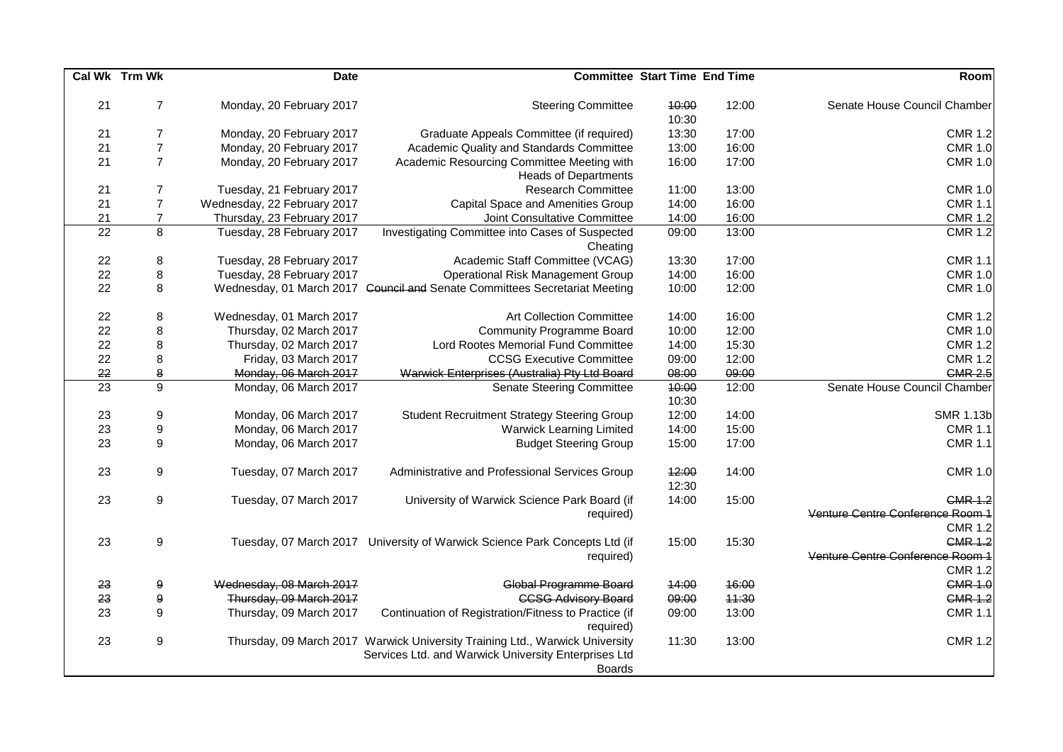|                 | Cal Wk Trm Wk    | <b>Date</b>                 |                                                                                                                                                       | <b>Committee Start Time End Time</b> |       | Room                             |
|-----------------|------------------|-----------------------------|-------------------------------------------------------------------------------------------------------------------------------------------------------|--------------------------------------|-------|----------------------------------|
| 21              | $\overline{7}$   | Monday, 20 February 2017    | <b>Steering Committee</b>                                                                                                                             | 10:00                                | 12:00 | Senate House Council Chamber     |
|                 |                  |                             |                                                                                                                                                       | 10:30                                |       |                                  |
| 21              | $\overline{7}$   | Monday, 20 February 2017    | Graduate Appeals Committee (if required)                                                                                                              | 13:30                                | 17:00 | <b>CMR 1.2</b>                   |
| 21              | $\overline{7}$   | Monday, 20 February 2017    | Academic Quality and Standards Committee                                                                                                              | 13:00                                | 16:00 | <b>CMR 1.0</b>                   |
| 21              | $\overline{7}$   | Monday, 20 February 2017    | Academic Resourcing Committee Meeting with<br><b>Heads of Departments</b>                                                                             | 16:00                                | 17:00 | <b>CMR 1.0</b>                   |
| 21              | $\overline{7}$   | Tuesday, 21 February 2017   | <b>Research Committee</b>                                                                                                                             | 11:00                                | 13:00 | <b>CMR 1.0</b>                   |
| 21              | $\overline{7}$   | Wednesday, 22 February 2017 | <b>Capital Space and Amenities Group</b>                                                                                                              | 14:00                                | 16:00 | <b>CMR 1.1</b>                   |
| 21              | $\overline{7}$   | Thursday, 23 February 2017  | Joint Consultative Committee                                                                                                                          | 14:00                                | 16:00 | <b>CMR 1.2</b>                   |
| $\overline{22}$ | $\overline{8}$   | Tuesday, 28 February 2017   | <b>Investigating Committee into Cases of Suspected</b>                                                                                                | 09:00                                | 13:00 | <b>CMR 1.2</b>                   |
|                 |                  |                             | Cheating                                                                                                                                              |                                      |       |                                  |
| 22              | 8                | Tuesday, 28 February 2017   | Academic Staff Committee (VCAG)                                                                                                                       | 13:30                                | 17:00 | <b>CMR 1.1</b>                   |
| 22              | 8                | Tuesday, 28 February 2017   | <b>Operational Risk Management Group</b>                                                                                                              | 14:00                                | 16:00 | <b>CMR 1.0</b>                   |
| 22              | 8                |                             | Wednesday, 01 March 2017 Council and Senate Committees Secretariat Meeting                                                                            | 10:00                                | 12:00 | <b>CMR 1.0</b>                   |
| 22              | 8                | Wednesday, 01 March 2017    | <b>Art Collection Committee</b>                                                                                                                       | 14:00                                | 16:00 | <b>CMR 1.2</b>                   |
| 22              | 8                | Thursday, 02 March 2017     | <b>Community Programme Board</b>                                                                                                                      | 10:00                                | 12:00 | <b>CMR 1.0</b>                   |
| 22              | $\bf 8$          | Thursday, 02 March 2017     | Lord Rootes Memorial Fund Committee                                                                                                                   | 14:00                                | 15:30 | <b>CMR 1.2</b>                   |
| 22              | 8                | Friday, 03 March 2017       | <b>CCSG Executive Committee</b>                                                                                                                       | 09:00                                | 12:00 | <b>CMR 1.2</b>                   |
| 22              | 8                | Monday, 06 March 2017       | Warwick Enterprises (Australia) Pty Ltd Board                                                                                                         | 08:00                                | 09:00 | <b>CMR 2.5</b>                   |
| 23              | $\overline{9}$   | Monday, 06 March 2017       | <b>Senate Steering Committee</b>                                                                                                                      | 40:00<br>10:30                       | 12:00 | Senate House Council Chamber     |
| 23              | 9                | Monday, 06 March 2017       | <b>Student Recruitment Strategy Steering Group</b>                                                                                                    | 12:00                                | 14:00 | <b>SMR 1.13b</b>                 |
| 23              | $\boldsymbol{9}$ | Monday, 06 March 2017       | <b>Warwick Learning Limited</b>                                                                                                                       | 14:00                                | 15:00 | <b>CMR 1.1</b>                   |
| 23              | 9                | Monday, 06 March 2017       | <b>Budget Steering Group</b>                                                                                                                          | 15:00                                | 17:00 | <b>CMR 1.1</b>                   |
|                 |                  |                             |                                                                                                                                                       |                                      |       |                                  |
| 23              | $\boldsymbol{9}$ | Tuesday, 07 March 2017      | Administrative and Professional Services Group                                                                                                        | 42:00                                | 14:00 | <b>CMR 1.0</b>                   |
|                 |                  |                             |                                                                                                                                                       | 12:30                                |       |                                  |
| 23              | 9                | Tuesday, 07 March 2017      | University of Warwick Science Park Board (if                                                                                                          | 14:00                                | 15:00 | <b>CMR 1.2</b>                   |
|                 |                  |                             | required)                                                                                                                                             |                                      |       | Venture Centre Conference Room 1 |
|                 |                  |                             |                                                                                                                                                       |                                      |       | <b>CMR 1.2</b>                   |
| 23              | 9                |                             | Tuesday, 07 March 2017 University of Warwick Science Park Concepts Ltd (if                                                                            | 15:00                                | 15:30 | <b>CMR 1.2</b>                   |
|                 |                  |                             | required)                                                                                                                                             |                                      |       | Venture Centre Conference Room 1 |
|                 |                  |                             |                                                                                                                                                       |                                      |       | <b>CMR 1.2</b>                   |
| 23              | 9                | Wednesday, 08 March 2017    | Global Programme Board                                                                                                                                | 44:00                                | 16:00 | <b>CMR 1.0</b>                   |
| 23              | $\boldsymbol{9}$ | Thursday, 09 March 2017     | <b>CCSG Advisory Board</b>                                                                                                                            | 09:00                                | 44:30 | <b>CMR 1.2</b>                   |
| 23              | 9                | Thursday, 09 March 2017     | Continuation of Registration/Fitness to Practice (if<br>required)                                                                                     | 09:00                                | 13:00 | <b>CMR 1.1</b>                   |
| 23              | 9                |                             | Thursday, 09 March 2017 Warwick University Training Ltd., Warwick University<br>Services Ltd. and Warwick University Enterprises Ltd<br><b>Boards</b> | 11:30                                | 13:00 | <b>CMR 1.2</b>                   |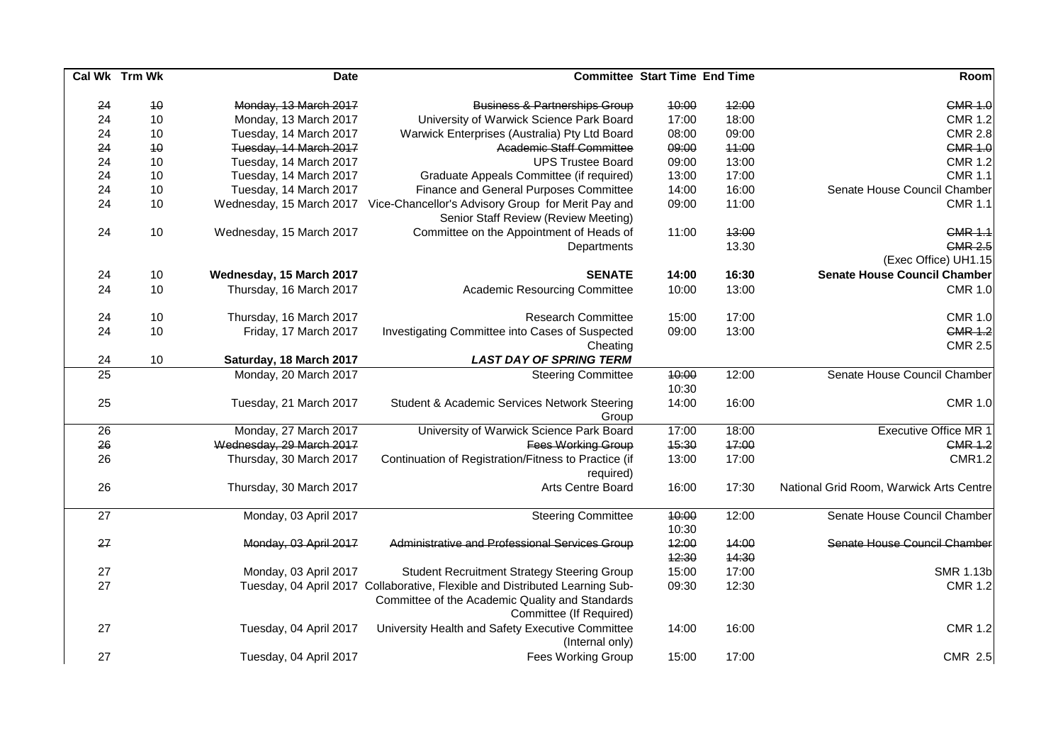|                 | Cal Wk Trm Wk | <b>Date</b>              |                                                                                                                     | <b>Committee Start Time End Time</b> |       | Room                                    |
|-----------------|---------------|--------------------------|---------------------------------------------------------------------------------------------------------------------|--------------------------------------|-------|-----------------------------------------|
|                 |               |                          |                                                                                                                     |                                      |       |                                         |
| 24              | 40            | Monday, 13 March 2017    | <b>Business &amp; Partnerships Group</b>                                                                            | 10:00                                | 42:00 | <b>CMR 1.0</b>                          |
| 24              | 10            | Monday, 13 March 2017    | University of Warwick Science Park Board                                                                            | 17:00                                | 18:00 | <b>CMR 1.2</b>                          |
| 24              | 10            | Tuesday, 14 March 2017   | Warwick Enterprises (Australia) Pty Ltd Board                                                                       | 08:00                                | 09:00 | <b>CMR 2.8</b>                          |
| 24              | 40            | Tuesday, 14 March 2017   | <b>Academic Staff Committee</b>                                                                                     | 09:00                                | 44:00 | <b>CMR 1.0</b>                          |
| 24              | 10            | Tuesday, 14 March 2017   | <b>UPS Trustee Board</b>                                                                                            | 09:00                                | 13:00 | <b>CMR 1.2</b>                          |
| 24              | 10            | Tuesday, 14 March 2017   | Graduate Appeals Committee (if required)                                                                            | 13:00                                | 17:00 | <b>CMR 1.1</b>                          |
| 24              | 10            | Tuesday, 14 March 2017   | Finance and General Purposes Committee                                                                              | 14:00                                | 16:00 | Senate House Council Chamber            |
| 24              | 10            |                          | Wednesday, 15 March 2017 Vice-Chancellor's Advisory Group for Merit Pay and<br>Senior Staff Review (Review Meeting) | 09:00                                | 11:00 | <b>CMR 1.1</b>                          |
| 24              | 10            | Wednesday, 15 March 2017 | Committee on the Appointment of Heads of                                                                            | 11:00                                | 43:00 | <b>CMR 1.1</b>                          |
|                 |               |                          | Departments                                                                                                         |                                      | 13.30 | <b>CMR 2.5</b>                          |
|                 |               |                          |                                                                                                                     |                                      |       | (Exec Office) UH1.15                    |
| 24              | 10            | Wednesday, 15 March 2017 | <b>SENATE</b>                                                                                                       | 14:00                                | 16:30 | <b>Senate House Council Chamber</b>     |
| 24              | 10            | Thursday, 16 March 2017  | <b>Academic Resourcing Committee</b>                                                                                | 10:00                                | 13:00 | <b>CMR 1.0</b>                          |
|                 |               |                          |                                                                                                                     |                                      |       |                                         |
| 24              | 10            | Thursday, 16 March 2017  | <b>Research Committee</b>                                                                                           | 15:00                                | 17:00 | <b>CMR 1.0</b>                          |
| 24              | 10            | Friday, 17 March 2017    | Investigating Committee into Cases of Suspected                                                                     | 09:00                                | 13:00 | <b>CMR 1.2</b>                          |
|                 |               |                          | Cheating                                                                                                            |                                      |       | <b>CMR 2.5</b>                          |
| 24              | 10            | Saturday, 18 March 2017  | <b>LAST DAY OF SPRING TERM</b>                                                                                      |                                      |       |                                         |
| $\overline{25}$ |               | Monday, 20 March 2017    | <b>Steering Committee</b>                                                                                           | 10:00                                | 12:00 | Senate House Council Chamber            |
|                 |               |                          |                                                                                                                     | 10:30                                |       |                                         |
| 25              |               | Tuesday, 21 March 2017   | Student & Academic Services Network Steering                                                                        | 14:00                                | 16:00 | <b>CMR 1.0</b>                          |
|                 |               |                          | Group                                                                                                               |                                      |       |                                         |
| 26              |               | Monday, 27 March 2017    | University of Warwick Science Park Board                                                                            | 17:00                                | 18:00 | <b>Executive Office MR 1</b>            |
| 26              |               | Wednesday, 29 March 2017 | <b>Fees Working Group</b>                                                                                           | 15:30                                | 17:00 | <b>GMR 1.2</b>                          |
| 26              |               | Thursday, 30 March 2017  | Continuation of Registration/Fitness to Practice (if                                                                | 13:00                                | 17:00 | <b>CMR1.2</b>                           |
|                 |               |                          | required)                                                                                                           |                                      |       |                                         |
| 26              |               | Thursday, 30 March 2017  | Arts Centre Board                                                                                                   | 16:00                                | 17:30 | National Grid Room, Warwick Arts Centre |
|                 |               |                          |                                                                                                                     |                                      |       |                                         |
| $\overline{27}$ |               | Monday, 03 April 2017    | <b>Steering Committee</b>                                                                                           | 40:00                                | 12:00 | Senate House Council Chamber            |
|                 |               |                          |                                                                                                                     | 10:30                                |       |                                         |
| 27              |               | Monday, 03 April 2017    | Administrative and Professional Services Group                                                                      | 42:00                                | 44:00 | Senate House Council Chamber            |
|                 |               |                          |                                                                                                                     | 12:30                                | 44:30 |                                         |
| 27              |               | Monday, 03 April 2017    | <b>Student Recruitment Strategy Steering Group</b>                                                                  | 15:00                                | 17:00 | <b>SMR 1.13b</b>                        |
| 27              |               |                          | Tuesday, 04 April 2017 Collaborative, Flexible and Distributed Learning Sub-                                        | 09:30                                | 12:30 | <b>CMR 1.2</b>                          |
|                 |               |                          | Committee of the Academic Quality and Standards                                                                     |                                      |       |                                         |
|                 |               |                          |                                                                                                                     |                                      |       |                                         |
| 27              |               |                          | Committee (If Required)                                                                                             |                                      |       |                                         |
|                 |               | Tuesday, 04 April 2017   | University Health and Safety Executive Committee                                                                    | 14:00                                | 16:00 | <b>CMR 1.2</b>                          |
|                 |               |                          | (Internal only)                                                                                                     |                                      |       |                                         |
| 27              |               | Tuesday, 04 April 2017   | <b>Fees Working Group</b>                                                                                           | 15:00                                | 17:00 | <b>CMR 2.5</b>                          |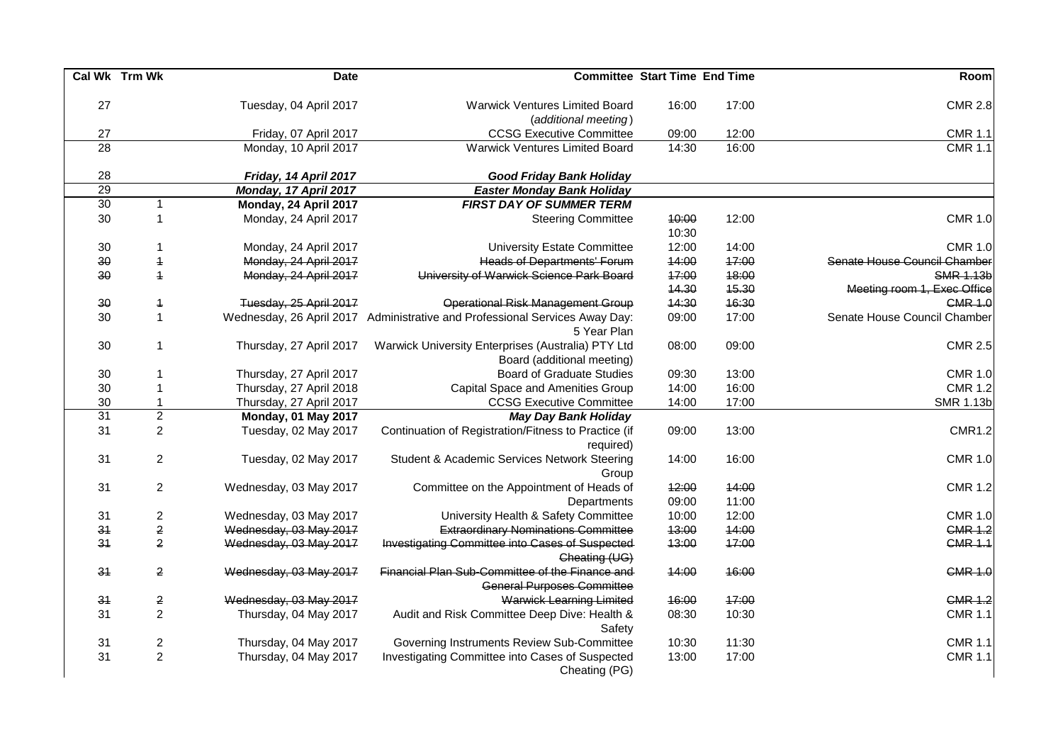| Room                         |       |                | <b>Committee Start Time End Time</b>                                                       | <b>Date</b>                | Cal Wk Trm Wk           |                 |
|------------------------------|-------|----------------|--------------------------------------------------------------------------------------------|----------------------------|-------------------------|-----------------|
| <b>CMR 2.8</b>               | 17:00 | 16:00          | <b>Warwick Ventures Limited Board</b><br>(additional meeting)                              | Tuesday, 04 April 2017     |                         | 27              |
| <b>CMR 1.1</b>               | 12:00 | 09:00          | <b>CCSG Executive Committee</b>                                                            | Friday, 07 April 2017      |                         | 27              |
| <b>CMR 1.1</b>               | 16:00 | 14:30          | <b>Warwick Ventures Limited Board</b>                                                      | Monday, 10 April 2017      |                         | $\overline{28}$ |
|                              |       |                | <b>Good Friday Bank Holiday</b>                                                            | Friday, 14 April 2017      |                         | 28              |
|                              |       |                | <b>Easter Monday Bank Holiday</b>                                                          | Monday, 17 April 2017      |                         | 29              |
|                              |       |                | <b>FIRST DAY OF SUMMER TERM</b>                                                            | Monday, 24 April 2017      | $\mathbf 1$             | 30              |
| <b>CMR 1.0</b>               | 12:00 | 40:00<br>10:30 | <b>Steering Committee</b>                                                                  | Monday, 24 April 2017      | $\mathbf{1}$            | 30              |
| <b>CMR 1.0</b>               | 14:00 | 12:00          | <b>University Estate Committee</b>                                                         | Monday, 24 April 2017      | $\mathbf{1}$            | 30              |
| Senate House Council Chamber | 47:00 | 44:00          | <b>Heads of Departments' Forum</b>                                                         | Monday, 24 April 2017      | $\ddagger$              | 30              |
| <b>SMR 1.13b</b>             | 48:00 | 47:00          | University of Warwick Science Park Board                                                   | Monday, 24 April 2017      | $\overline{1}$          | 30              |
| Meeting room 1, Exec Office  | 15.30 | 44.30          |                                                                                            |                            |                         |                 |
| <b>CMR 1.0</b>               | 16:30 | 14:30          | <b>Operational Risk Management Group</b>                                                   | Tuesday, 25 April 2017     | $\overline{1}$          | 30              |
| Senate House Council Chamber | 17:00 | 09:00          | Wednesday, 26 April 2017 Administrative and Professional Services Away Day:<br>5 Year Plan |                            | $\mathbf{1}$            | 30              |
| <b>CMR 2.5</b>               | 09:00 | 08:00          | Warwick University Enterprises (Australia) PTY Ltd<br>Board (additional meeting)           | Thursday, 27 April 2017    | $\mathbf{1}$            | 30              |
| <b>CMR 1.0</b>               | 13:00 | 09:30          | <b>Board of Graduate Studies</b>                                                           | Thursday, 27 April 2017    |                         | 30              |
| <b>CMR 1.2</b>               | 16:00 | 14:00          | <b>Capital Space and Amenities Group</b>                                                   | Thursday, 27 April 2018    |                         | 30              |
| <b>SMR 1.13b</b>             | 17:00 | 14:00          | <b>CCSG Executive Committee</b>                                                            | Thursday, 27 April 2017    | $\mathbf{1}$            | 30              |
|                              |       |                | <b>May Day Bank Holiday</b>                                                                | <b>Monday, 01 May 2017</b> | $\overline{2}$          | 31              |
| <b>CMR1.2</b>                | 13:00 | 09:00          | Continuation of Registration/Fitness to Practice (if<br>required)                          | Tuesday, 02 May 2017       | $\overline{2}$          | 31              |
| <b>CMR 1.0</b>               | 16:00 | 14:00          | Student & Academic Services Network Steering<br>Group                                      | Tuesday, 02 May 2017       | $\overline{c}$          | 31              |
| <b>CMR 1.2</b>               | 44:00 | 42:00          | Committee on the Appointment of Heads of                                                   | Wednesday, 03 May 2017     | $\overline{c}$          | 31              |
|                              | 11:00 | 09:00          | Departments                                                                                |                            |                         |                 |
| <b>CMR 1.0</b>               | 12:00 | 10:00          | University Health & Safety Committee                                                       | Wednesday, 03 May 2017     | $\overline{c}$          | 31              |
| <b>CMR 1.2</b>               | 14:00 | 43:00          | <b>Extraordinary Nominations Committee</b>                                                 | Wednesday, 03 May 2017     | $\boldsymbol{2}$        | 34              |
| <b>CMR 1.1</b>               | 17:00 | 43:00          | Investigating Committee into Cases of Suspected<br>Cheating (UG)                           | Wednesday, 03 May 2017     | $\overline{2}$          | 34              |
| <b>CMR 1.0</b>               | 16:00 | 14:00          | Financial Plan Sub-Committee of the Finance and<br><b>General Purposes Committee</b>       | Wednesday, 03 May 2017     | $\mathbf 2$             | 34              |
| <b>CMR 1.2</b>               | 47:00 | 46:00          | <b>Warwick Learning Limited</b>                                                            | Wednesday, 03 May 2017     | $\overline{\mathbf{c}}$ | 34              |
| <b>CMR 1.1</b>               | 10:30 | 08:30          | Audit and Risk Committee Deep Dive: Health &<br>Safety                                     | Thursday, 04 May 2017      | $\overline{c}$          | 31              |
| <b>CMR 1.1</b>               | 11:30 | 10:30          | Governing Instruments Review Sub-Committee                                                 | Thursday, 04 May 2017      | 2                       | 31              |
| <b>CMR 1.1</b>               | 17:00 | 13:00          | Investigating Committee into Cases of Suspected<br>Cheating (PG)                           | Thursday, 04 May 2017      | $\overline{c}$          | 31              |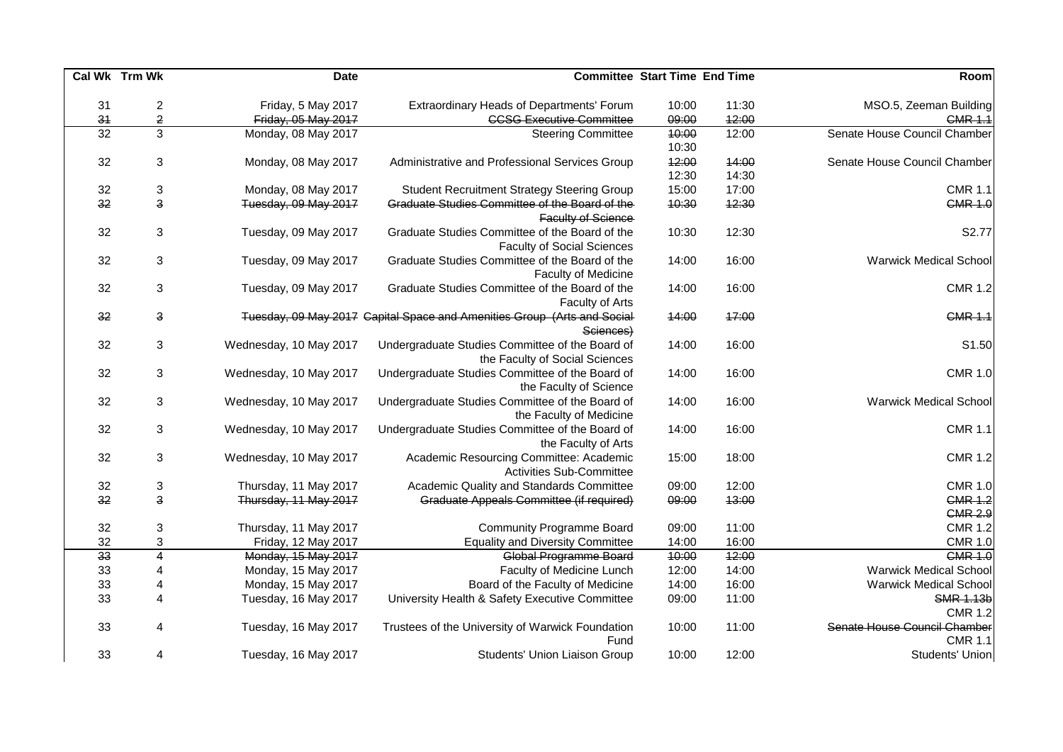|                 | Cal Wk Trm Wk             | <b>Date</b>            |                                                                                      | <b>Committee Start Time End Time</b> |                | Room                                           |
|-----------------|---------------------------|------------------------|--------------------------------------------------------------------------------------|--------------------------------------|----------------|------------------------------------------------|
| 31              | $\frac{2}{2}$             | Friday, 5 May 2017     | Extraordinary Heads of Departments' Forum                                            | 10:00                                | 11:30          | MSO.5, Zeeman Building                         |
| 34              |                           | Friday, 05 May 2017    | <b>CCSG Executive Committee</b>                                                      | 09:00                                | 42:00          | <b>CMR 1.1</b>                                 |
| 32              | $\overline{3}$            | Monday, 08 May 2017    | <b>Steering Committee</b>                                                            | 40:00<br>10:30                       | 12:00          | Senate House Council Chamber                   |
| 32              | 3                         | Monday, 08 May 2017    | Administrative and Professional Services Group                                       | 42:00<br>12:30                       | 44:00<br>14:30 | Senate House Council Chamber                   |
| 32              | 3                         | Monday, 08 May 2017    | <b>Student Recruitment Strategy Steering Group</b>                                   | 15:00                                | 17:00          | <b>CMR 1.1</b>                                 |
| 32              | 3                         | Tuesday, 09 May 2017   | Graduate Studies Committee of the Board of the<br><b>Faculty of Science</b>          | 10:30                                | 12:30          | <b>CMR 1.0</b>                                 |
| 32              | $\mathbf{3}$              | Tuesday, 09 May 2017   | Graduate Studies Committee of the Board of the<br><b>Faculty of Social Sciences</b>  | 10:30                                | 12:30          | S2.77                                          |
| 32              | $\mathbf{3}$              | Tuesday, 09 May 2017   | Graduate Studies Committee of the Board of the<br>Faculty of Medicine                | 14:00                                | 16:00          | <b>Warwick Medical School</b>                  |
| 32              | 3                         | Tuesday, 09 May 2017   | Graduate Studies Committee of the Board of the<br><b>Faculty of Arts</b>             | 14:00                                | 16:00          | <b>CMR 1.2</b>                                 |
| 32              | 3                         |                        | Tuesday, 09 May 2017 Capital Space and Amenities Group (Arts and Social<br>Sciences) | 14:00                                | 47:00          | <b>CMR 1.1</b>                                 |
| 32              | $\mathbf{3}$              | Wednesday, 10 May 2017 | Undergraduate Studies Committee of the Board of<br>the Faculty of Social Sciences    | 14:00                                | 16:00          | S1.50                                          |
| 32              | 3                         | Wednesday, 10 May 2017 | Undergraduate Studies Committee of the Board of<br>the Faculty of Science            | 14:00                                | 16:00          | <b>CMR 1.0</b>                                 |
| 32              | 3                         | Wednesday, 10 May 2017 | Undergraduate Studies Committee of the Board of<br>the Faculty of Medicine           | 14:00                                | 16:00          | <b>Warwick Medical School</b>                  |
| 32              | 3                         | Wednesday, 10 May 2017 | Undergraduate Studies Committee of the Board of<br>the Faculty of Arts               | 14:00                                | 16:00          | <b>CMR 1.1</b>                                 |
| 32              | 3                         | Wednesday, 10 May 2017 | Academic Resourcing Committee: Academic<br><b>Activities Sub-Committee</b>           | 15:00                                | 18:00          | <b>CMR 1.2</b>                                 |
| 32              | $\ensuremath{\mathsf{3}}$ | Thursday, 11 May 2017  | Academic Quality and Standards Committee                                             | 09:00                                | 12:00          | <b>CMR 1.0</b>                                 |
| 32              | 3                         | Thursday, 11 May 2017  | Graduate Appeals Committee (if required)                                             | 09:00                                | 13:00          | <b>CMR 1.2</b><br><b>CMR 2.9</b>               |
| 32              | $\ensuremath{\mathsf{3}}$ | Thursday, 11 May 2017  | <b>Community Programme Board</b>                                                     | 09:00                                | 11:00          | <b>CMR 1.2</b>                                 |
| 32              | $\mathsf 3$               | Friday, 12 May 2017    | <b>Equality and Diversity Committee</b>                                              | 14:00                                | 16:00          | <b>CMR 1.0</b>                                 |
| $\overline{33}$ | $\overline{4}$            | Monday, 15 May 2017    | Global Programme Board                                                               | 40:00                                | 12:00          | <b>CMR 1.0</b>                                 |
| 33              | $\overline{4}$            | Monday, 15 May 2017    | Faculty of Medicine Lunch                                                            | 12:00                                | 14:00          | <b>Warwick Medical School</b>                  |
| 33              | $\overline{\mathbf{4}}$   | Monday, 15 May 2017    | Board of the Faculty of Medicine                                                     | 14:00                                | 16:00          | <b>Warwick Medical School</b>                  |
| 33              | $\overline{4}$            | Tuesday, 16 May 2017   | University Health & Safety Executive Committee                                       | 09:00                                | 11:00          | <b>SMR 1.13b</b><br><b>CMR 1.2</b>             |
| 33              | 4                         | Tuesday, 16 May 2017   | Trustees of the University of Warwick Foundation<br>Fund                             | 10:00                                | 11:00          | Senate House Council Chamber<br><b>CMR 1.1</b> |
| 33              | 4                         | Tuesday, 16 May 2017   | Students' Union Liaison Group                                                        | 10:00                                | 12:00          | Students' Union                                |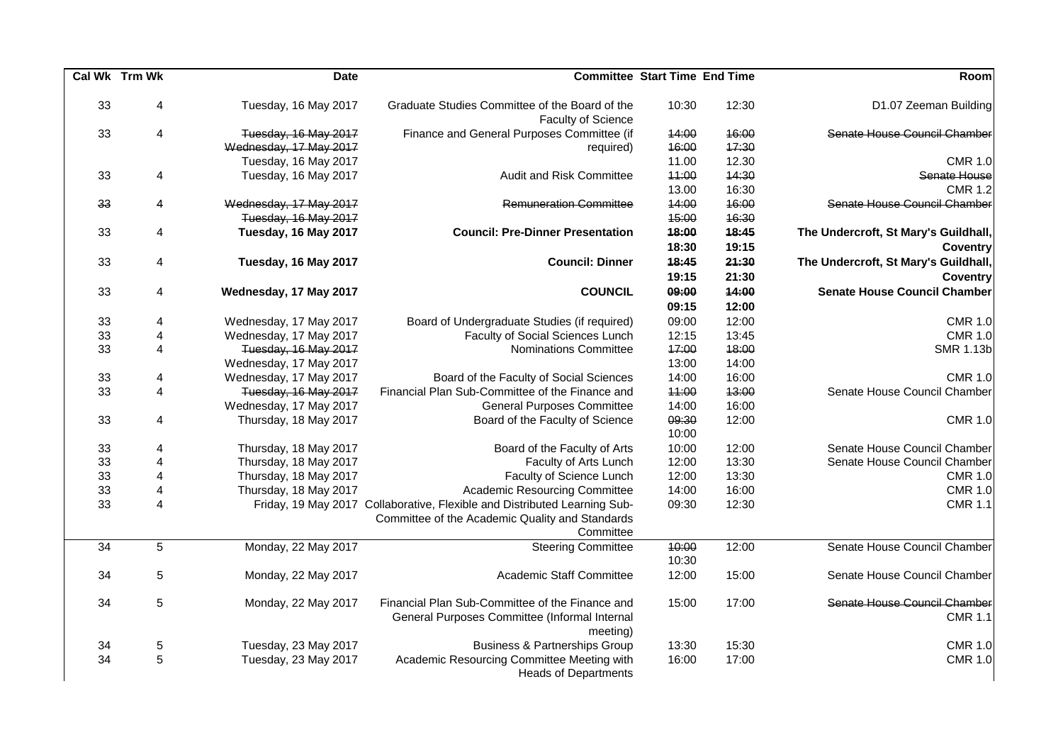| Room                                 |       |                | <b>Committee Start Time End Time</b>                                        | <b>Date</b>            | Cal Wk Trm Wk                |                 |
|--------------------------------------|-------|----------------|-----------------------------------------------------------------------------|------------------------|------------------------------|-----------------|
| D1.07 Zeeman Building                | 12:30 | 10:30          | Graduate Studies Committee of the Board of the<br><b>Faculty of Science</b> | Tuesday, 16 May 2017   | 4                            | 33              |
| Senate House Council Chamber         | 16:00 | 44:00          | Finance and General Purposes Committee (if                                  | Tuesday, 16 May 2017   | 4                            | 33              |
|                                      | 17:30 | 16:00          | required)                                                                   | Wednesday, 17 May 2017 |                              |                 |
| <b>CMR 1.0</b>                       | 12.30 | 11.00          |                                                                             | Tuesday, 16 May 2017   |                              |                 |
| Senate House                         | 14:30 | 44:00          | Audit and Risk Committee                                                    | Tuesday, 16 May 2017   | 4                            | 33              |
| <b>CMR 1.2</b>                       | 16:30 | 13.00          |                                                                             |                        |                              |                 |
| Senate House Council Chamber         | 46:00 | 14:00          | <b>Remuneration Committee</b>                                               | Wednesday, 17 May 2017 | $\overline{4}$               | 33              |
|                                      | 16:30 | 15:00          |                                                                             | Tuesday, 16 May 2017   |                              |                 |
| The Undercroft, St Mary's Guildhall, | 18:45 | 18:00          | <b>Council: Pre-Dinner Presentation</b>                                     | Tuesday, 16 May 2017   | 4                            | 33              |
| <b>Coventry</b>                      | 19:15 | 18:30          |                                                                             |                        |                              |                 |
| The Undercroft, St Mary's Guildhall, | 24:30 | <b>48:45</b>   | <b>Council: Dinner</b>                                                      | Tuesday, 16 May 2017   | 4                            | 33              |
| <b>Coventry</b>                      | 21:30 | 19:15          |                                                                             |                        |                              |                 |
| <b>Senate House Council Chamber</b>  | 14:00 | 09:00          | <b>COUNCIL</b>                                                              | Wednesday, 17 May 2017 | 4                            | 33              |
|                                      | 12:00 | 09:15          |                                                                             |                        |                              |                 |
| <b>CMR 1.0</b>                       | 12:00 | 09:00          | Board of Undergraduate Studies (if required)                                | Wednesday, 17 May 2017 | 4                            | 33              |
| CMR 1.0                              | 13:45 | 12:15          | Faculty of Social Sciences Lunch                                            | Wednesday, 17 May 2017 | 4                            | 33              |
| SMR 1.13b                            | 18:00 | 47:00          | Nominations Committee                                                       | Tuesday, 16 May 2017   | 4                            | 33              |
|                                      | 14:00 | 13:00          |                                                                             | Wednesday, 17 May 2017 |                              |                 |
| <b>CMR 1.0</b>                       | 16:00 | 14:00          | Board of the Faculty of Social Sciences                                     | Wednesday, 17 May 2017 | 4                            | 33              |
| Senate House Council Chamber         | 43:00 | 44:00          | Financial Plan Sub-Committee of the Finance and                             | Tuesday, 16 May 2017   | 4                            | 33              |
|                                      | 16:00 | 14:00          | <b>General Purposes Committee</b>                                           | Wednesday, 17 May 2017 |                              |                 |
| CMR 1.0                              | 12:00 | 09:30          | Board of the Faculty of Science                                             | Thursday, 18 May 2017  |                              | 33              |
|                                      |       | 10:00          |                                                                             |                        | 4                            |                 |
| Senate House Council Chamber         | 12:00 | 10:00          | Board of the Faculty of Arts                                                | Thursday, 18 May 2017  |                              |                 |
| Senate House Council Chamber         | 13:30 | 12:00          | Faculty of Arts Lunch                                                       | Thursday, 18 May 2017  | 4<br>$\overline{\mathbf{4}}$ | 33<br>33        |
| <b>CMR 1.0</b>                       | 13:30 | 12:00          | Faculty of Science Lunch                                                    | Thursday, 18 May 2017  | 4                            | 33              |
| CMR 1.0                              | 16:00 | 14:00          | <b>Academic Resourcing Committee</b>                                        | Thursday, 18 May 2017  | $\overline{\mathbf{4}}$      | 33              |
| <b>CMR 1.1</b>                       | 12:30 | 09:30          | Friday, 19 May 2017 Collaborative, Flexible and Distributed Learning Sub-   |                        | $\overline{4}$               | 33              |
|                                      |       |                | Committee of the Academic Quality and Standards<br>Committee                |                        |                              |                 |
| Senate House Council Chamber         | 12:00 | 40:00<br>10:30 | <b>Steering Committee</b>                                                   | Monday, 22 May 2017    | 5                            | $\overline{34}$ |
| Senate House Council Chamber         | 15:00 | 12:00          | <b>Academic Staff Committee</b>                                             | Monday, 22 May 2017    | $\sqrt{5}$                   | 34              |
| Senate House Council Chamber         | 17:00 | 15:00          | Financial Plan Sub-Committee of the Finance and                             | Monday, 22 May 2017    | $\sqrt{5}$                   | 34              |
| <b>CMR 1.1</b>                       |       |                | General Purposes Committee (Informal Internal<br>meeting)                   |                        |                              |                 |
| CMR 1.0                              | 15:30 | 13:30          | <b>Business &amp; Partnerships Group</b>                                    | Tuesday, 23 May 2017   | 5                            | 34              |
| CMR 1.0                              | 17:00 | 16:00          | Academic Resourcing Committee Meeting with<br><b>Heads of Departments</b>   | Tuesday, 23 May 2017   | $\overline{5}$               | 34              |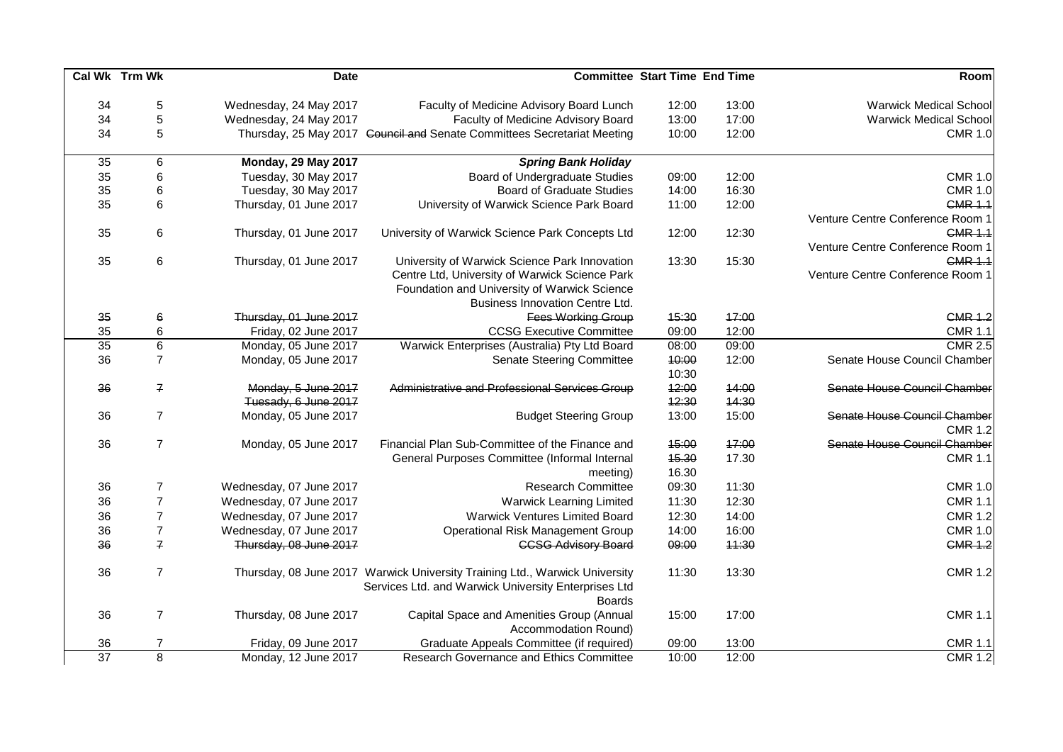|    | Cal Wk Trm Wk           | <b>Date</b>                | <b>Committee Start Time End Time</b>                                                                                                                 |       |       | Room                                           |
|----|-------------------------|----------------------------|------------------------------------------------------------------------------------------------------------------------------------------------------|-------|-------|------------------------------------------------|
| 34 | 5                       | Wednesday, 24 May 2017     | Faculty of Medicine Advisory Board Lunch                                                                                                             | 12:00 | 13:00 | <b>Warwick Medical School</b>                  |
| 34 | $\mathbf 5$             | Wednesday, 24 May 2017     | Faculty of Medicine Advisory Board                                                                                                                   | 13:00 | 17:00 | <b>Warwick Medical School</b>                  |
| 34 | 5                       |                            | Thursday, 25 May 2017 <del>Council and</del> Senate Committees Secretariat Meeting                                                                   | 10:00 | 12:00 | <b>CMR 1.0</b>                                 |
| 35 | $\,6$                   | <b>Monday, 29 May 2017</b> | <b>Spring Bank Holiday</b>                                                                                                                           |       |       |                                                |
| 35 | $\,6$                   | Tuesday, 30 May 2017       | Board of Undergraduate Studies                                                                                                                       | 09:00 | 12:00 | <b>CMR 1.0</b>                                 |
| 35 | $\,6$                   | Tuesday, 30 May 2017       | <b>Board of Graduate Studies</b>                                                                                                                     | 14:00 | 16:30 | <b>CMR 1.0</b>                                 |
| 35 | $\,6$                   | Thursday, 01 June 2017     | University of Warwick Science Park Board                                                                                                             | 11:00 | 12:00 | <b>CMR 1.1</b>                                 |
|    |                         |                            |                                                                                                                                                      |       |       | Venture Centre Conference Room 1               |
| 35 | 6                       | Thursday, 01 June 2017     | University of Warwick Science Park Concepts Ltd                                                                                                      | 12:00 | 12:30 | <b>CMR 1.1</b>                                 |
|    |                         |                            |                                                                                                                                                      |       |       | Venture Centre Conference Room 1               |
| 35 | 6                       | Thursday, 01 June 2017     | University of Warwick Science Park Innovation                                                                                                        | 13:30 | 15:30 | <b>CMR 1.1</b>                                 |
|    |                         |                            | Centre Ltd, University of Warwick Science Park                                                                                                       |       |       | Venture Centre Conference Room 1               |
|    |                         |                            | Foundation and University of Warwick Science                                                                                                         |       |       |                                                |
|    |                         |                            | Business Innovation Centre Ltd.                                                                                                                      |       |       |                                                |
| 35 | $\mathbf 6$             | Thursday, 01 June 2017     | <b>Fees Working Group</b>                                                                                                                            | 15:30 | 47:00 | <b>CMR 1.2</b>                                 |
| 35 | $\,6$                   | Friday, 02 June 2017       | <b>CCSG Executive Committee</b>                                                                                                                      | 09:00 | 12:00 | <b>CMR 1.1</b>                                 |
| 35 | $6\overline{6}$         | Monday, 05 June 2017       | Warwick Enterprises (Australia) Pty Ltd Board                                                                                                        | 08:00 | 09:00 | <b>CMR 2.5</b>                                 |
| 36 | $\overline{7}$          | Monday, 05 June 2017       | <b>Senate Steering Committee</b>                                                                                                                     | 40:00 | 12:00 | Senate House Council Chamber                   |
|    |                         |                            |                                                                                                                                                      | 10:30 |       |                                                |
| 36 | $\mathbf{7}$            | Monday, 5 June 2017        | Administrative and Professional Services Group                                                                                                       | 12:00 | 44:00 | Senate House Council Chamber                   |
|    |                         | Tuesady, 6 June 2017       |                                                                                                                                                      | 12:30 | 44:30 |                                                |
| 36 | $\overline{7}$          | Monday, 05 June 2017       | <b>Budget Steering Group</b>                                                                                                                         | 13:00 | 15:00 | Senate House Council Chamber<br><b>CMR 1.2</b> |
| 36 | $\overline{7}$          | Monday, 05 June 2017       | Financial Plan Sub-Committee of the Finance and                                                                                                      | 45:00 | 47:00 | Senate House Council Chamber                   |
|    |                         |                            | General Purposes Committee (Informal Internal                                                                                                        | 45.30 | 17.30 | <b>CMR 1.1</b>                                 |
|    |                         |                            | meeting)                                                                                                                                             | 16.30 |       |                                                |
| 36 | 7                       | Wednesday, 07 June 2017    | <b>Research Committee</b>                                                                                                                            | 09:30 | 11:30 | <b>CMR 1.0</b>                                 |
| 36 | $\overline{7}$          | Wednesday, 07 June 2017    | <b>Warwick Learning Limited</b>                                                                                                                      | 11:30 | 12:30 | <b>CMR 1.1</b>                                 |
| 36 | $\overline{7}$          | Wednesday, 07 June 2017    | <b>Warwick Ventures Limited Board</b>                                                                                                                | 12:30 | 14:00 | <b>CMR 1.2</b>                                 |
| 36 | $\overline{\mathbf{7}}$ | Wednesday, 07 June 2017    | <b>Operational Risk Management Group</b>                                                                                                             | 14:00 | 16:00 | <b>CMR 1.0</b>                                 |
| 36 | $\overline{r}$          | Thursday, 08 June 2017     | <b>CCSG Advisory Board</b>                                                                                                                           | 09:00 | 44:30 | <b>CMR 1.2</b>                                 |
| 36 | $\overline{7}$          |                            | Thursday, 08 June 2017 Warwick University Training Ltd., Warwick University<br>Services Ltd. and Warwick University Enterprises Ltd<br><b>Boards</b> | 11:30 | 13:30 | <b>CMR 1.2</b>                                 |
| 36 | $\overline{7}$          | Thursday, 08 June 2017     | Capital Space and Amenities Group (Annual<br>Accommodation Round)                                                                                    | 15:00 | 17:00 | <b>CMR 1.1</b>                                 |
| 36 |                         | Friday, 09 June 2017       | Graduate Appeals Committee (if required)                                                                                                             | 09:00 | 13:00 | <b>CMR 1.1</b>                                 |
| 37 | $\overline{8}$          | Monday, 12 June 2017       | Research Governance and Ethics Committee                                                                                                             | 10:00 | 12:00 | <b>CMR 1.2</b>                                 |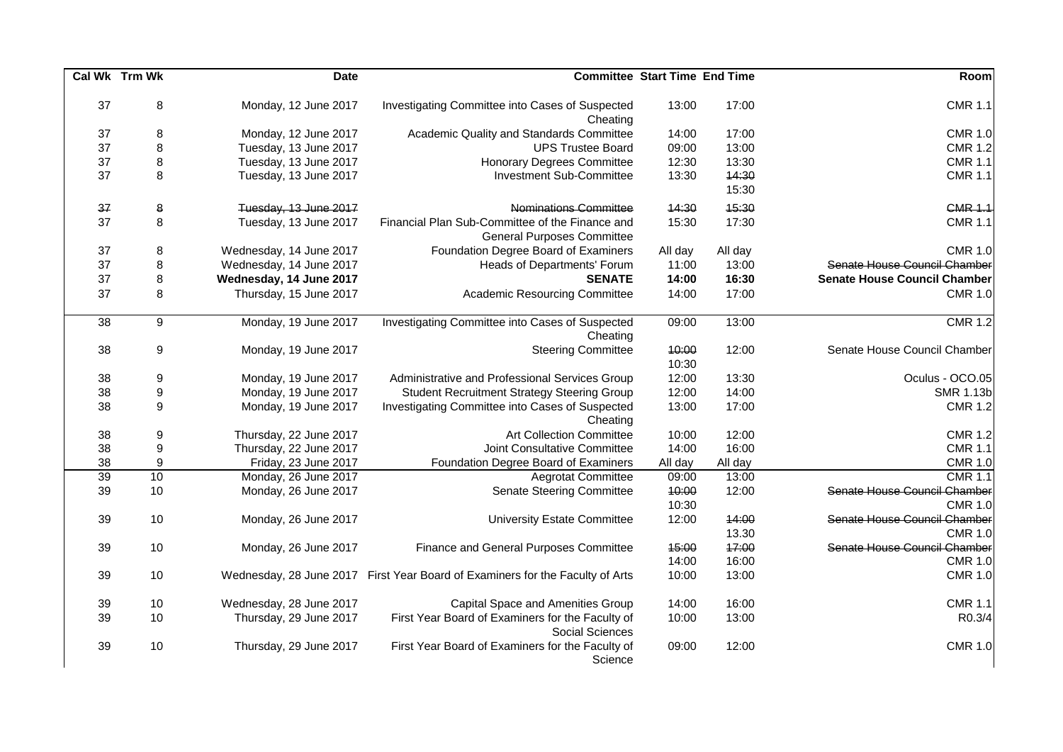| Room                                |         |                | <b>Committee Start Time End Time</b>                                                 | <b>Date</b>             | Cal Wk Trm Wk    |    |
|-------------------------------------|---------|----------------|--------------------------------------------------------------------------------------|-------------------------|------------------|----|
| <b>CMR 1.1</b>                      | 17:00   | 13:00          | Investigating Committee into Cases of Suspected<br>Cheating                          | Monday, 12 June 2017    | $\bf 8$          | 37 |
| <b>CMR 1.0</b>                      | 17:00   | 14:00          | Academic Quality and Standards Committee                                             | Monday, 12 June 2017    | $\bf8$           | 37 |
| <b>CMR 1.2</b>                      | 13:00   | 09:00          | <b>UPS Trustee Board</b>                                                             | Tuesday, 13 June 2017   | $\bf 8$          | 37 |
| <b>CMR 1.1</b>                      | 13:30   | 12:30          | <b>Honorary Degrees Committee</b>                                                    | Tuesday, 13 June 2017   | $\bf 8$          | 37 |
| <b>CMR 1.1</b>                      | 14:30   | 13:30          | <b>Investment Sub-Committee</b>                                                      | Tuesday, 13 June 2017   | 8                | 37 |
|                                     | 15:30   |                |                                                                                      |                         |                  |    |
| <b>CMR 1.1</b>                      | 15:30   | 44:30          | Nominations Committee                                                                | Tuesday, 13 June 2017   | $\pmb{8}$        | 37 |
| <b>CMR 1.1</b>                      | 17:30   | 15:30          | Financial Plan Sub-Committee of the Finance and<br><b>General Purposes Committee</b> | Tuesday, 13 June 2017   | $\bf 8$          | 37 |
| <b>CMR 1.0</b>                      | All day | All day        | Foundation Degree Board of Examiners                                                 | Wednesday, 14 June 2017 | 8                | 37 |
| Senate House Council Chamber        | 13:00   | 11:00          | Heads of Departments' Forum                                                          | Wednesday, 14 June 2017 | $\bf 8$          | 37 |
| <b>Senate House Council Chamber</b> | 16:30   | 14:00          | <b>SENATE</b>                                                                        | Wednesday, 14 June 2017 | 8                | 37 |
| <b>CMR 1.0</b>                      | 17:00   | 14:00          | Academic Resourcing Committee                                                        | Thursday, 15 June 2017  | 8                | 37 |
| <b>CMR 1.2</b>                      | 13:00   | 09:00          | Investigating Committee into Cases of Suspected<br>Cheating                          | Monday, 19 June 2017    | 9                | 38 |
| Senate House Council Chamber        | 12:00   | 10:00<br>10:30 | <b>Steering Committee</b>                                                            | Monday, 19 June 2017    | 9                | 38 |
| Oculus - OCO.05                     | 13:30   | 12:00          | Administrative and Professional Services Group                                       | Monday, 19 June 2017    | 9                | 38 |
| <b>SMR 1.13b</b>                    | 14:00   | 12:00          | <b>Student Recruitment Strategy Steering Group</b>                                   | Monday, 19 June 2017    | $\boldsymbol{9}$ | 38 |
| <b>CMR 1.2</b>                      | 17:00   | 13:00          | Investigating Committee into Cases of Suspected                                      | Monday, 19 June 2017    | $\boldsymbol{9}$ | 38 |
|                                     |         |                | Cheating                                                                             |                         |                  |    |
| <b>CMR 1.2</b>                      | 12:00   | 10:00          | <b>Art Collection Committee</b>                                                      | Thursday, 22 June 2017  | $\boldsymbol{9}$ | 38 |
| <b>CMR 1.1</b>                      | 16:00   | 14:00          | Joint Consultative Committee                                                         | Thursday, 22 June 2017  | $\boldsymbol{9}$ | 38 |
| <b>CMR 1.0</b>                      | All day | All day        | Foundation Degree Board of Examiners                                                 | Friday, 23 June 2017    | $\boldsymbol{9}$ | 38 |
| <b>CMR 1.1</b>                      | 13:00   | 09:00          | <b>Aegrotat Committee</b>                                                            | Monday, 26 June 2017    | 10               | 39 |
| Senate House Council Chamber        | 12:00   | 40:00          | <b>Senate Steering Committee</b>                                                     | Monday, 26 June 2017    | 10               | 39 |
| <b>CMR 1.0</b>                      |         | 10:30          |                                                                                      |                         |                  |    |
| Senate House Council Chamber        | 14:00   | 12:00          | <b>University Estate Committee</b>                                                   | Monday, 26 June 2017    | 10               | 39 |
| <b>CMR 1.0</b>                      | 13.30   |                |                                                                                      |                         |                  |    |
| Senate House Council Chamber        | 47:00   | 15:00          | Finance and General Purposes Committee                                               | Monday, 26 June 2017    | 10               | 39 |
| <b>CMR 1.0</b>                      | 16:00   | 14:00          |                                                                                      |                         |                  |    |
| <b>CMR 1.0</b>                      | 13:00   | 10:00          | Wednesday, 28 June 2017 First Year Board of Examiners for the Faculty of Arts        |                         | 10               | 39 |
| <b>CMR 1.1</b>                      | 16:00   | 14:00          | Capital Space and Amenities Group                                                    | Wednesday, 28 June 2017 | 10               | 39 |
| R0.3/4                              | 13:00   | 10:00          | First Year Board of Examiners for the Faculty of<br><b>Social Sciences</b>           | Thursday, 29 June 2017  | 10               | 39 |
| <b>CMR 1.0</b>                      | 12:00   | 09:00          | First Year Board of Examiners for the Faculty of<br>Science                          | Thursday, 29 June 2017  | 10               | 39 |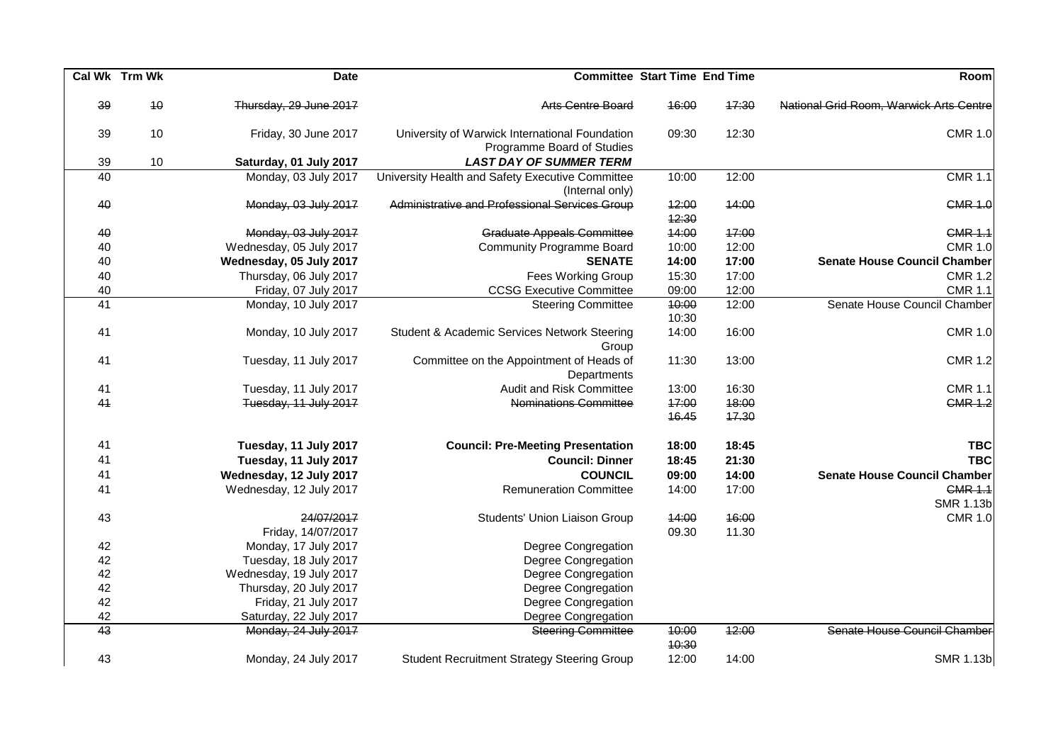|                 | Cal Wk Trm Wk | <b>Date</b>                      | <b>Committee Start Time End Time</b>                                         |                |                | Room                                    |
|-----------------|---------------|----------------------------------|------------------------------------------------------------------------------|----------------|----------------|-----------------------------------------|
| 39              | 40            | Thursday, 29 June 2017           | <b>Arts Centre Board</b>                                                     | 16:00          | 47:30          | National Grid Room, Warwick Arts Centre |
| 39              | 10            | Friday, 30 June 2017             | University of Warwick International Foundation<br>Programme Board of Studies | 09:30          | 12:30          | <b>CMR 1.0</b>                          |
| 39              | 10            | Saturday, 01 July 2017           | <b>LAST DAY OF SUMMER TERM</b>                                               |                |                |                                         |
| 40              |               | Monday, 03 July 2017             | University Health and Safety Executive Committee<br>(Internal only)          | 10:00          | 12:00          | <b>CMR 1.1</b>                          |
| 40              |               | Monday, 03 July 2017             | Administrative and Professional Services Group                               | 12:00<br>42:30 | 14:00          | <b>CMR 1.0</b>                          |
| 40              |               | Monday, 03 July 2017             | <b>Graduate Appeals Committee</b>                                            | 14:00          | 47:00          | <b>GMR 1.1</b>                          |
| 40              |               | Wednesday, 05 July 2017          | <b>Community Programme Board</b>                                             | 10:00          | 12:00          | <b>CMR 1.0</b>                          |
| 40              |               | Wednesday, 05 July 2017          | <b>SENATE</b>                                                                | 14:00          | 17:00          | <b>Senate House Council Chamber</b>     |
| 40              |               | Thursday, 06 July 2017           | Fees Working Group                                                           | 15:30          | 17:00          | <b>CMR 1.2</b>                          |
| 40              |               | Friday, 07 July 2017             | <b>CCSG Executive Committee</b>                                              | 09:00          | 12:00          | <b>CMR 1.1</b>                          |
| 41              |               | Monday, 10 July 2017             | <b>Steering Committee</b>                                                    | 40:00<br>10:30 | 12:00          | Senate House Council Chamber            |
| 41              |               | Monday, 10 July 2017             | Student & Academic Services Network Steering<br>Group                        | 14:00          | 16:00          | <b>CMR 1.0</b>                          |
| 41              |               | Tuesday, 11 July 2017            | Committee on the Appointment of Heads of<br>Departments                      | 11:30          | 13:00          | <b>CMR 1.2</b>                          |
| 41              |               | Tuesday, 11 July 2017            | <b>Audit and Risk Committee</b>                                              | 13:00          | 16:30          | <b>CMR 1.1</b>                          |
| 41              |               | Tuesday, 11 July 2017            | <b>Nominations Committee</b>                                                 | 47:00          | 48:00          | <b>CMR 1.2</b>                          |
|                 |               |                                  |                                                                              | 46.45          | 17.30          |                                         |
| 41              |               | Tuesday, 11 July 2017            | <b>Council: Pre-Meeting Presentation</b>                                     | 18:00          | 18:45          | <b>TBC</b>                              |
| 41              |               | Tuesday, 11 July 2017            | <b>Council: Dinner</b>                                                       | 18:45          | 21:30          | <b>TBC</b>                              |
| 41              |               | Wednesday, 12 July 2017          | <b>COUNCIL</b>                                                               | 09:00          | 14:00          | <b>Senate House Council Chamber</b>     |
| 41              |               | Wednesday, 12 July 2017          | <b>Remuneration Committee</b>                                                | 14:00          | 17:00          | <b>CMR 1.1</b><br><b>SMR 1.13b</b>      |
| 43              |               | 24/07/2017<br>Friday, 14/07/2017 | Students' Union Liaison Group                                                | 44:00<br>09.30 | 46:00<br>11.30 | <b>CMR 1.0</b>                          |
| 42              |               | Monday, 17 July 2017             | Degree Congregation                                                          |                |                |                                         |
| 42              |               | Tuesday, 18 July 2017            | Degree Congregation                                                          |                |                |                                         |
| 42              |               | Wednesday, 19 July 2017          | Degree Congregation                                                          |                |                |                                         |
| 42              |               | Thursday, 20 July 2017           | Degree Congregation                                                          |                |                |                                         |
| 42              |               | Friday, 21 July 2017             | Degree Congregation                                                          |                |                |                                         |
| 42              |               | Saturday, 22 July 2017           | Degree Congregation                                                          |                |                |                                         |
| $\overline{43}$ |               | Monday, 24 July 2017             | <b>Steering Committee</b>                                                    | 40:00<br>10:30 | 42:00          | Senate House Council Chamber            |
| 43              |               | Monday, 24 July 2017             | <b>Student Recruitment Strategy Steering Group</b>                           | 12:00          | 14:00          | <b>SMR 1.13b</b>                        |